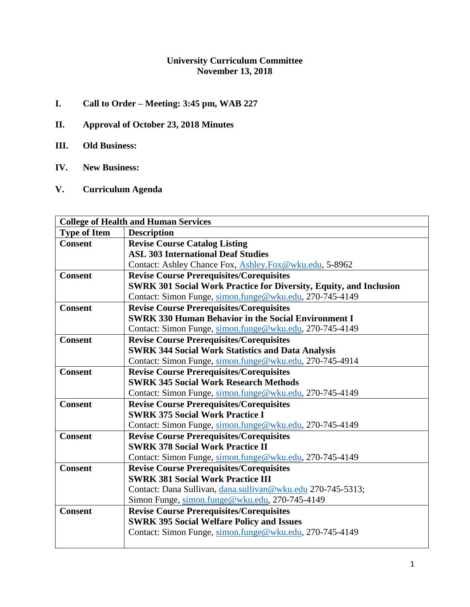### **University Curriculum Committee November 13, 2018**

- **I. Call to Order – Meeting: 3:45 pm, WAB 227**
- **II. Approval of October 23, 2018 Minutes**
- **III. Old Business:**
- **IV. New Business:**
- **V. Curriculum Agenda**

| <b>College of Health and Human Services</b> |                                                                           |  |
|---------------------------------------------|---------------------------------------------------------------------------|--|
| <b>Type of Item</b>                         | <b>Description</b>                                                        |  |
| <b>Consent</b>                              | <b>Revise Course Catalog Listing</b>                                      |  |
|                                             | <b>ASL 303 International Deaf Studies</b>                                 |  |
|                                             | Contact: Ashley Chance Fox, Ashley.Fox@wku.edu, 5-8962                    |  |
| <b>Consent</b>                              | <b>Revise Course Prerequisites/Corequisites</b>                           |  |
|                                             | <b>SWRK 301 Social Work Practice for Diversity, Equity, and Inclusion</b> |  |
|                                             | Contact: Simon Funge, simon.funge@wku.edu, 270-745-4149                   |  |
| <b>Consent</b>                              | <b>Revise Course Prerequisites/Corequisites</b>                           |  |
|                                             | <b>SWRK 330 Human Behavior in the Social Environment I</b>                |  |
|                                             | Contact: Simon Funge, simon.funge@wku.edu, 270-745-4149                   |  |
| <b>Consent</b>                              | <b>Revise Course Prerequisites/Corequisites</b>                           |  |
|                                             | <b>SWRK 344 Social Work Statistics and Data Analysis</b>                  |  |
|                                             | Contact: Simon Funge, simon.funge@wku.edu, 270-745-4914                   |  |
| <b>Consent</b>                              | <b>Revise Course Prerequisites/Corequisites</b>                           |  |
|                                             | <b>SWRK 345 Social Work Research Methods</b>                              |  |
|                                             | Contact: Simon Funge, simon.funge@wku.edu, 270-745-4149                   |  |
| <b>Consent</b>                              | <b>Revise Course Prerequisites/Corequisites</b>                           |  |
|                                             | <b>SWRK 375 Social Work Practice I</b>                                    |  |
|                                             | Contact: Simon Funge, simon.funge@wku.edu, 270-745-4149                   |  |
| <b>Consent</b>                              | <b>Revise Course Prerequisites/Corequisites</b>                           |  |
|                                             | <b>SWRK 378 Social Work Practice II</b>                                   |  |
|                                             | Contact: Simon Funge, simon.funge@wku.edu, 270-745-4149                   |  |
| <b>Consent</b>                              | <b>Revise Course Prerequisites/Corequisites</b>                           |  |
|                                             | <b>SWRK 381 Social Work Practice III</b>                                  |  |
|                                             | Contact: Dana Sullivan, dana.sullivan@wku.edu 270-745-5313;               |  |
|                                             | Simon Funge, simon.funge@wku.edu, 270-745-4149                            |  |
| <b>Consent</b>                              | <b>Revise Course Prerequisites/Corequisites</b>                           |  |
|                                             | <b>SWRK 395 Social Welfare Policy and Issues</b>                          |  |
|                                             | Contact: Simon Funge, simon.funge@wku.edu, 270-745-4149                   |  |
|                                             |                                                                           |  |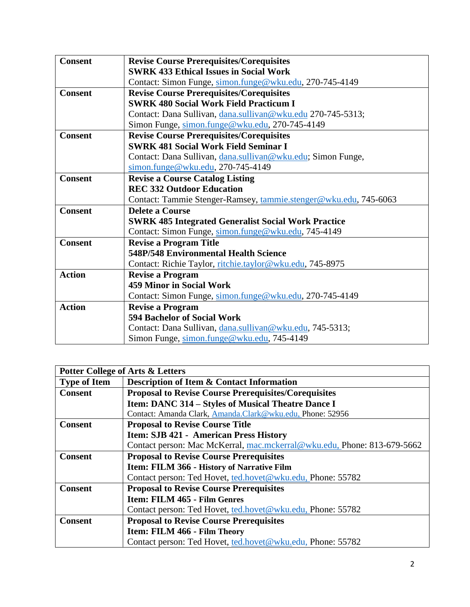| <b>Consent</b> | <b>Revise Course Prerequisites/Corequisites</b>                  |  |
|----------------|------------------------------------------------------------------|--|
|                | <b>SWRK 433 Ethical Issues in Social Work</b>                    |  |
|                | Contact: Simon Funge, simon.funge@wku.edu, 270-745-4149          |  |
| <b>Consent</b> | <b>Revise Course Prerequisites/Corequisites</b>                  |  |
|                | <b>SWRK 480 Social Work Field Practicum I</b>                    |  |
|                | Contact: Dana Sullivan, dana.sullivan@wku.edu 270-745-5313;      |  |
|                | Simon Funge, simon.funge@wku.edu, 270-745-4149                   |  |
| <b>Consent</b> | <b>Revise Course Prerequisites/Corequisites</b>                  |  |
|                | <b>SWRK 481 Social Work Field Seminar I</b>                      |  |
|                | Contact: Dana Sullivan, dana.sullivan@wku.edu; Simon Funge,      |  |
|                | $\frac{\text{simon.funge@wku.edu}}{270-745-4149}$                |  |
| <b>Consent</b> | <b>Revise a Course Catalog Listing</b>                           |  |
|                | <b>REC 332 Outdoor Education</b>                                 |  |
|                | Contact: Tammie Stenger-Ramsey, tammie.stenger@wku.edu, 745-6063 |  |
| <b>Consent</b> | Delete a Course                                                  |  |
|                | <b>SWRK 485 Integrated Generalist Social Work Practice</b>       |  |
|                | Contact: Simon Funge, simon.funge@wku.edu, 745-4149              |  |
| <b>Consent</b> | <b>Revise a Program Title</b>                                    |  |
|                | <b>548P/548 Environmental Health Science</b>                     |  |
|                | Contact: Richie Taylor, ritchie.taylor@wku.edu, 745-8975         |  |
| <b>Action</b>  | <b>Revise a Program</b>                                          |  |
|                | <b>459 Minor in Social Work</b>                                  |  |
|                | Contact: Simon Funge, simon.funge@wku.edu, 270-745-4149          |  |
| <b>Action</b>  | <b>Revise a Program</b>                                          |  |
|                | 594 Bachelor of Social Work                                      |  |
|                | Contact: Dana Sullivan, dana.sullivan@wku.edu, 745-5313;         |  |
|                | Simon Funge, simon.funge@wku.edu, 745-4149                       |  |

| <b>Potter College of Arts &amp; Letters</b> |                                                                         |  |
|---------------------------------------------|-------------------------------------------------------------------------|--|
| <b>Type of Item</b>                         | <b>Description of Item &amp; Contact Information</b>                    |  |
| <b>Consent</b>                              | <b>Proposal to Revise Course Prerequisites/Corequisites</b>             |  |
|                                             | Item: DANC 314 - Styles of Musical Theatre Dance I                      |  |
|                                             | Contact: Amanda Clark, Amanda.Clark@wku.edu, Phone: 52956               |  |
| <b>Consent</b>                              | <b>Proposal to Revise Course Title</b>                                  |  |
|                                             | <b>Item: SJB 421 - American Press History</b>                           |  |
|                                             | Contact person: Mac McKerral, mac.mckerral@wku.edu, Phone: 813-679-5662 |  |
| <b>Consent</b>                              | <b>Proposal to Revise Course Prerequisites</b>                          |  |
|                                             | Item: FILM 366 - History of Narrative Film                              |  |
|                                             | Contact person: Ted Hovet, ted.hovet@wku.edu, Phone: 55782              |  |
| <b>Consent</b>                              | <b>Proposal to Revise Course Prerequisites</b>                          |  |
|                                             | Item: FILM 465 - Film Genres                                            |  |
|                                             | Contact person: Ted Hovet, ted.hovet@wku.edu, Phone: 55782              |  |
| <b>Consent</b>                              | <b>Proposal to Revise Course Prerequisites</b>                          |  |
|                                             | Item: FILM 466 - Film Theory                                            |  |
|                                             | Contact person: Ted Hovet, ted.hovet@wku.edu, Phone: 55782              |  |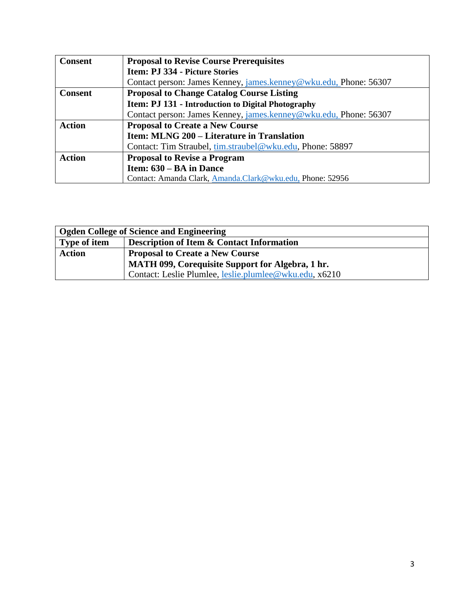| <b>Consent</b> | <b>Proposal to Revise Course Prerequisites</b>                   |  |
|----------------|------------------------------------------------------------------|--|
|                | <b>Item: PJ 334 - Picture Stories</b>                            |  |
|                | Contact person: James Kenney, james.kenney@wku.edu, Phone: 56307 |  |
| <b>Consent</b> | <b>Proposal to Change Catalog Course Listing</b>                 |  |
|                | <b>Item: PJ 131 - Introduction to Digital Photography</b>        |  |
|                | Contact person: James Kenney, james.kenney@wku.edu, Phone: 56307 |  |
| <b>Action</b>  | <b>Proposal to Create a New Course</b>                           |  |
|                | Item: MLNG 200 – Literature in Translation                       |  |
|                | Contact: Tim Straubel, tim.straubel@wku.edu, Phone: 58897        |  |
| <b>Action</b>  | <b>Proposal to Revise a Program</b>                              |  |
|                | Item: $630 - BA$ in Dance                                        |  |
|                | Contact: Amanda Clark, Amanda.Clark@wku.edu, Phone: 52956        |  |

| <b>Ogden College of Science and Engineering</b> |                                                        |  |
|-------------------------------------------------|--------------------------------------------------------|--|
| <b>Type of item</b>                             | <b>Description of Item &amp; Contact Information</b>   |  |
| <b>Action</b>                                   | <b>Proposal to Create a New Course</b>                 |  |
|                                                 | MATH 099, Corequisite Support for Algebra, 1 hr.       |  |
|                                                 | Contact: Leslie Plumlee, leslie.plumlee@wku.edu, x6210 |  |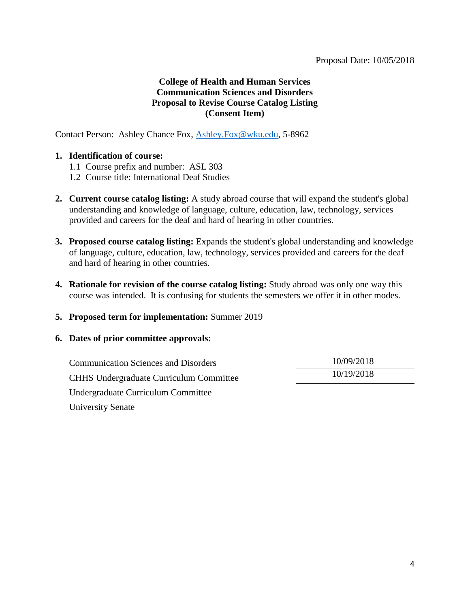### **College of Health and Human Services Communication Sciences and Disorders Proposal to Revise Course Catalog Listing (Consent Item)**

Contact Person: Ashley Chance Fox, [Ashley.Fox@wku.edu,](mailto:Ashley.Fox@wku.edu) 5-8962

### **1. Identification of course:**

- 1.1 Course prefix and number: ASL 303
- 1.2 Course title: International Deaf Studies
- **2. Current course catalog listing:** A study abroad course that will expand the student's global understanding and knowledge of language, culture, education, law, technology, services provided and careers for the deaf and hard of hearing in other countries.
- **3. Proposed course catalog listing:** Expands the student's global understanding and knowledge of language, culture, education, law, technology, services provided and careers for the deaf and hard of hearing in other countries.
- **4. Rationale for revision of the course catalog listing:** Study abroad was only one way this course was intended. It is confusing for students the semesters we offer it in other modes.
- **5. Proposed term for implementation:** Summer 2019

| <b>Communication Sciences and Disorders</b>    | 10/09/2018 |
|------------------------------------------------|------------|
| <b>CHHS Undergraduate Curriculum Committee</b> | 10/19/2018 |
| Undergraduate Curriculum Committee             |            |
| University Senate                              |            |
|                                                |            |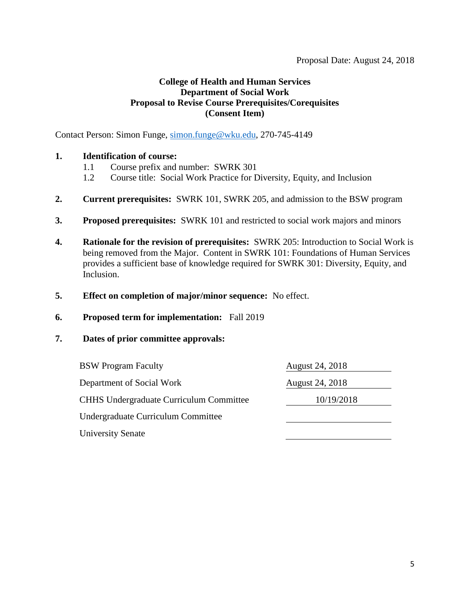Contact Person: Simon Funge, [simon.funge@wku.edu,](mailto:simon.funge@wku.edu) 270-745-4149

### **1. Identification of course:**

- 1.1 Course prefix and number: SWRK 301
- 1.2 Course title: Social Work Practice for Diversity, Equity, and Inclusion
- **2. Current prerequisites:** SWRK 101, SWRK 205, and admission to the BSW program
- **3. Proposed prerequisites:** SWRK 101 and restricted to social work majors and minors
- **4. Rationale for the revision of prerequisites:** SWRK 205: Introduction to Social Work is being removed from the Major. Content in SWRK 101: Foundations of Human Services provides a sufficient base of knowledge required for SWRK 301: Diversity, Equity, and Inclusion.
- **5. Effect on completion of major/minor sequence:** No effect.
- **6. Proposed term for implementation:** Fall 2019

| <b>BSW Program Faculty</b>                     | August 24, 2018        |
|------------------------------------------------|------------------------|
| Department of Social Work                      | <b>August 24, 2018</b> |
| <b>CHHS Undergraduate Curriculum Committee</b> | 10/19/2018             |
| Undergraduate Curriculum Committee             |                        |
| <b>University Senate</b>                       |                        |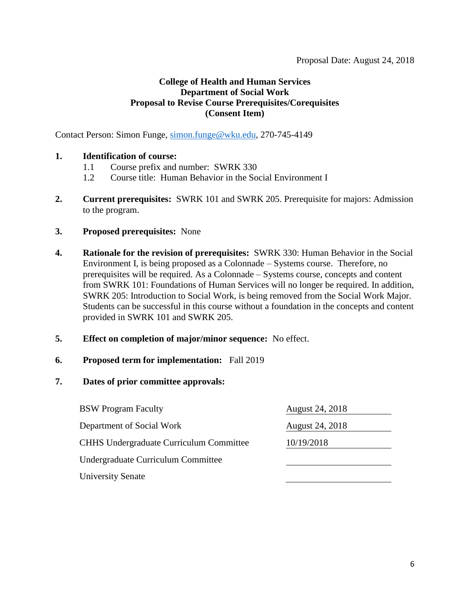Contact Person: Simon Funge, [simon.funge@wku.edu,](mailto:simon.funge@wku.edu) 270-745-4149

### **1. Identification of course:**

- 1.1 Course prefix and number: SWRK 330
- 1.2 Course title: Human Behavior in the Social Environment I
- **2. Current prerequisites:** SWRK 101 and SWRK 205. Prerequisite for majors: Admission to the program.
- **3. Proposed prerequisites:** None
- **4. Rationale for the revision of prerequisites:** SWRK 330: Human Behavior in the Social Environment I, is being proposed as a Colonnade – Systems course. Therefore, no prerequisites will be required. As a Colonnade – Systems course, concepts and content from SWRK 101: Foundations of Human Services will no longer be required. In addition, SWRK 205: Introduction to Social Work, is being removed from the Social Work Major. Students can be successful in this course without a foundation in the concepts and content provided in SWRK 101 and SWRK 205.
- **5. Effect on completion of major/minor sequence:** No effect.
- **6. Proposed term for implementation:** Fall 2019
- **7. Dates of prior committee approvals:**

| <b>BSW Program Faculty</b>                     | August 24, 2018 |
|------------------------------------------------|-----------------|
| Department of Social Work                      | August 24, 2018 |
| <b>CHHS Undergraduate Curriculum Committee</b> | 10/19/2018      |
| Undergraduate Curriculum Committee             |                 |
| <b>University Senate</b>                       |                 |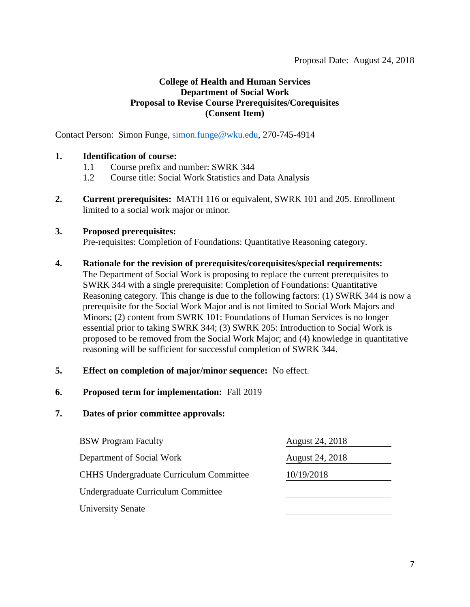Contact Person: Simon Funge, [simon.funge@wku.edu,](mailto:simon.funge@wku.edu) 270-745-4914

### **1. Identification of course:**

- 1.1 Course prefix and number: SWRK 344
- 1.2 Course title: Social Work Statistics and Data Analysis
- **2. Current prerequisites:** MATH 116 or equivalent, SWRK 101 and 205. Enrollment limited to a social work major or minor.

#### **3. Proposed prerequisites:**

Pre-requisites: Completion of Foundations: Quantitative Reasoning category.

#### **4. Rationale for the revision of prerequisites/corequisites/special requirements:**

The Department of Social Work is proposing to replace the current prerequisites to SWRK 344 with a single prerequisite: Completion of Foundations: Quantitative Reasoning category. This change is due to the following factors: (1) SWRK 344 is now a prerequisite for the Social Work Major and is not limited to Social Work Majors and Minors; (2) content from SWRK 101: Foundations of Human Services is no longer essential prior to taking SWRK 344; (3) SWRK 205: Introduction to Social Work is proposed to be removed from the Social Work Major; and (4) knowledge in quantitative reasoning will be sufficient for successful completion of SWRK 344.

#### **5. Effect on completion of major/minor sequence:** No effect.

#### **6. Proposed term for implementation:** Fall 2019

| <b>BSW Program Faculty</b>                     | August 24, 2018 |
|------------------------------------------------|-----------------|
| Department of Social Work                      | August 24, 2018 |
| <b>CHHS Undergraduate Curriculum Committee</b> | 10/19/2018      |
| Undergraduate Curriculum Committee             |                 |
| <b>University Senate</b>                       |                 |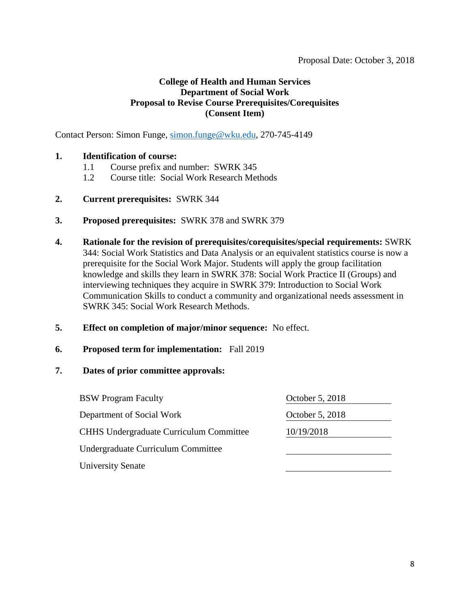Contact Person: Simon Funge, [simon.funge@wku.edu,](mailto:simon.funge@wku.edu) 270-745-4149

### **1. Identification of course:**

- 1.1 Course prefix and number: SWRK 345
- 1.2 Course title: Social Work Research Methods
- **2. Current prerequisites:** SWRK 344
- **3. Proposed prerequisites:** SWRK 378 and SWRK 379
- **4. Rationale for the revision of prerequisites/corequisites/special requirements:** SWRK 344: Social Work Statistics and Data Analysis or an equivalent statistics course is now a prerequisite for the Social Work Major. Students will apply the group facilitation knowledge and skills they learn in SWRK 378: Social Work Practice II (Groups) and interviewing techniques they acquire in SWRK 379: Introduction to Social Work Communication Skills to conduct a community and organizational needs assessment in SWRK 345: Social Work Research Methods.
- **5. Effect on completion of major/minor sequence:** No effect.
- **6. Proposed term for implementation:** Fall 2019

| <b>BSW</b> Program Faculty                     | October 5, 2018 |
|------------------------------------------------|-----------------|
| Department of Social Work                      | October 5, 2018 |
| <b>CHHS Undergraduate Curriculum Committee</b> | 10/19/2018      |
| Undergraduate Curriculum Committee             |                 |
| <b>University Senate</b>                       |                 |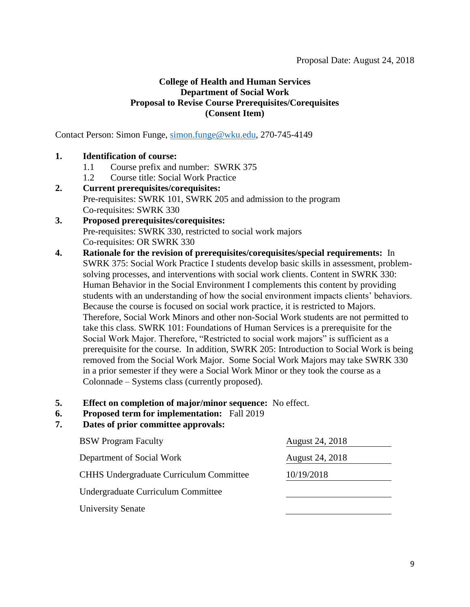Contact Person: Simon Funge, [simon.funge@wku.edu,](mailto:simon.funge@wku.edu) 270-745-4149

### **1. Identification of course:**

- 1.1 Course prefix and number: SWRK 375
- 1.2 Course title: Social Work Practice

### **2. Current prerequisites/corequisites:**  Pre-requisites: SWRK 101, SWRK 205 and admission to the program Co-requisites: SWRK 330

### **3. Proposed prerequisites/corequisites:** Pre-requisites: SWRK 330, restricted to social work majors Co-requisites: OR SWRK 330

### **4. Rationale for the revision of prerequisites/corequisites/special requirements:** In SWRK 375: Social Work Practice I students develop basic skills in assessment, problemsolving processes, and interventions with social work clients. Content in SWRK 330: Human Behavior in the Social Environment I complements this content by providing students with an understanding of how the social environment impacts clients' behaviors. Because the course is focused on social work practice, it is restricted to Majors. Therefore, Social Work Minors and other non-Social Work students are not permitted to take this class. SWRK 101: Foundations of Human Services is a prerequisite for the Social Work Major. Therefore, "Restricted to social work majors" is sufficient as a prerequisite for the course. In addition, SWRK 205: Introduction to Social Work is being removed from the Social Work Major. Some Social Work Majors may take SWRK 330 in a prior semester if they were a Social Work Minor or they took the course as a Colonnade – Systems class (currently proposed).

- **5. Effect on completion of major/minor sequence:** No effect.
- **6. Proposed term for implementation:** Fall 2019

| <b>BSW Program Faculty</b>                     | August 24, 2018 |
|------------------------------------------------|-----------------|
| Department of Social Work                      | August 24, 2018 |
| <b>CHHS Undergraduate Curriculum Committee</b> | 10/19/2018      |
| Undergraduate Curriculum Committee             |                 |
| <b>University Senate</b>                       |                 |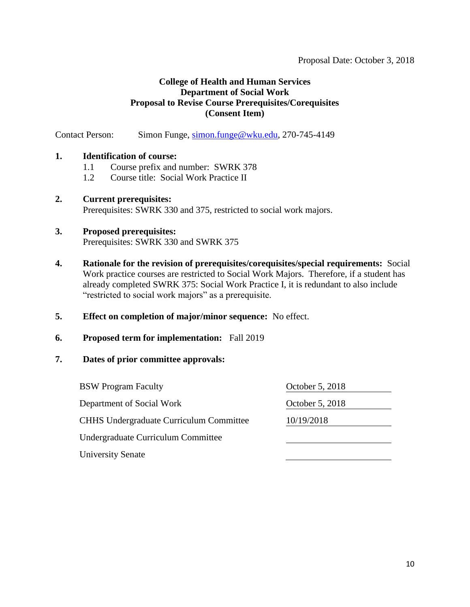Contact Person: Simon Funge, [simon.funge@wku.edu,](mailto:simon.funge@wku.edu) 270-745-4149

### **1. Identification of course:**

- 1.1 Course prefix and number: SWRK 378
- 1.2 Course title: Social Work Practice II

### **2. Current prerequisites:**  Prerequisites: SWRK 330 and 375, restricted to social work majors.

### **3. Proposed prerequisites:**

Prerequisites: SWRK 330 and SWRK 375

- **4. Rationale for the revision of prerequisites/corequisites/special requirements:** Social Work practice courses are restricted to Social Work Majors. Therefore, if a student has already completed SWRK 375: Social Work Practice I, it is redundant to also include "restricted to social work majors" as a prerequisite.
- **5. Effect on completion of major/minor sequence:** No effect.

#### **6. Proposed term for implementation:** Fall 2019

| <b>BSW Program Faculty</b>                     | October 5, 2018 |  |
|------------------------------------------------|-----------------|--|
| Department of Social Work                      | October 5, 2018 |  |
| <b>CHHS</b> Undergraduate Curriculum Committee | 10/19/2018      |  |
| Undergraduate Curriculum Committee             |                 |  |
| <b>University Senate</b>                       |                 |  |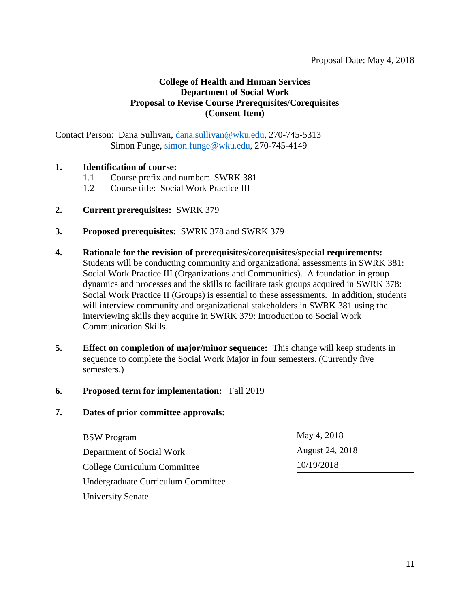Contact Person: Dana Sullivan, [dana.sullivan@wku.edu,](mailto:dana.sullivan@wku.edu) 270-745-5313 Simon Funge, [simon.funge@wku.edu,](mailto:simon.funge@wku.edu) 270-745-4149

### **1. Identification of course:**

- 1.1 Course prefix and number: SWRK 381
- 1.2 Course title: Social Work Practice III
- **2. Current prerequisites:** SWRK 379
- **3. Proposed prerequisites:** SWRK 378 and SWRK 379
- **4. Rationale for the revision of prerequisites/corequisites/special requirements:**  Students will be conducting community and organizational assessments in SWRK 381: Social Work Practice III (Organizations and Communities). A foundation in group dynamics and processes and the skills to facilitate task groups acquired in SWRK 378: Social Work Practice II (Groups) is essential to these assessments. In addition, students will interview community and organizational stakeholders in SWRK 381 using the interviewing skills they acquire in SWRK 379: Introduction to Social Work Communication Skills.
- **5. Effect on completion of major/minor sequence:** This change will keep students in sequence to complete the Social Work Major in four semesters. (Currently five semesters.)

#### **6. Proposed term for implementation:** Fall 2019

| May 4, 2018     |
|-----------------|
| August 24, 2018 |
| 10/19/2018      |
|                 |
|                 |
|                 |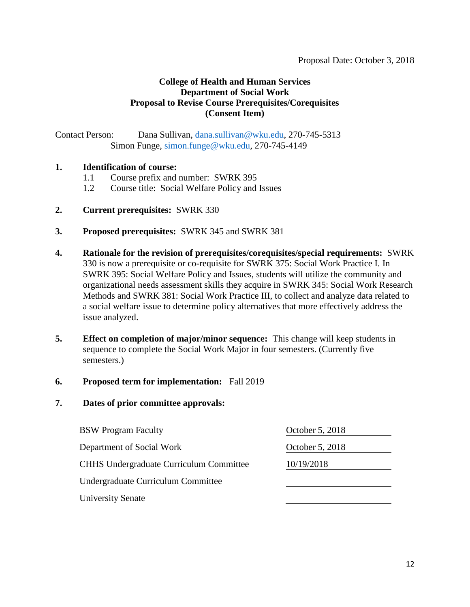Contact Person: Dana Sullivan, [dana.sullivan@wku.edu,](mailto:dana.sullivan@wku.edu) 270-745-5313 Simon Funge, [simon.funge@wku.edu,](mailto:simon.funge@wku.edu) 270-745-4149

#### **1. Identification of course:**

- 1.1 Course prefix and number: SWRK 395
- 1.2 Course title: Social Welfare Policy and Issues
- **2. Current prerequisites:** SWRK 330
- **3. Proposed prerequisites:** SWRK 345 and SWRK 381
- **4. Rationale for the revision of prerequisites/corequisites/special requirements:** SWRK 330 is now a prerequisite or co-requisite for SWRK 375: Social Work Practice I. In SWRK 395: Social Welfare Policy and Issues, students will utilize the community and organizational needs assessment skills they acquire in SWRK 345: Social Work Research Methods and SWRK 381: Social Work Practice III, to collect and analyze data related to a social welfare issue to determine policy alternatives that more effectively address the issue analyzed.
- **5. Effect on completion of major/minor sequence:** This change will keep students in sequence to complete the Social Work Major in four semesters. (Currently five semesters.)

#### **6. Proposed term for implementation:** Fall 2019

| <b>BSW</b> Program Faculty                     | October 5, 2018 |
|------------------------------------------------|-----------------|
| Department of Social Work                      | October 5, 2018 |
| <b>CHHS Undergraduate Curriculum Committee</b> | 10/19/2018      |
| Undergraduate Curriculum Committee             |                 |
| <b>University Senate</b>                       |                 |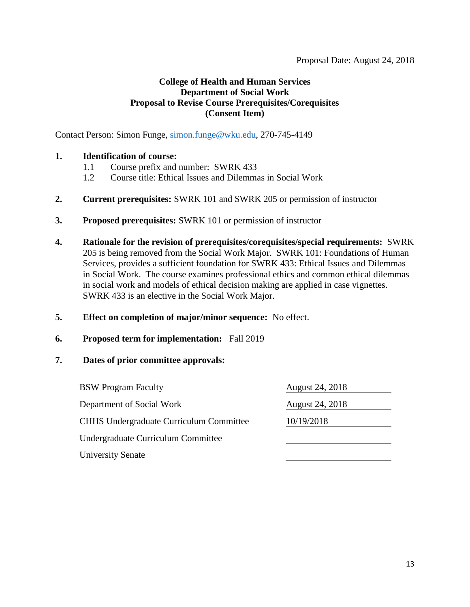Contact Person: Simon Funge, [simon.funge@wku.edu,](mailto:simon.funge@wku.edu) 270-745-4149

### **1. Identification of course:**

- 1.1 Course prefix and number: SWRK 433
- 1.2 Course title: Ethical Issues and Dilemmas in Social Work
- **2. Current prerequisites:** SWRK 101 and SWRK 205 or permission of instructor
- **3. Proposed prerequisites:** SWRK 101 or permission of instructor
- **4. Rationale for the revision of prerequisites/corequisites/special requirements:** SWRK 205 is being removed from the Social Work Major. SWRK 101: Foundations of Human Services, provides a sufficient foundation for SWRK 433: Ethical Issues and Dilemmas in Social Work. The course examines professional ethics and common ethical dilemmas in social work and models of ethical decision making are applied in case vignettes. SWRK 433 is an elective in the Social Work Major.
- **5. Effect on completion of major/minor sequence:** No effect.

#### **6. Proposed term for implementation:** Fall 2019

| <b>BSW</b> Program Faculty                     | <b>August 24, 2018</b> |
|------------------------------------------------|------------------------|
| Department of Social Work                      | August 24, 2018        |
| <b>CHHS Undergraduate Curriculum Committee</b> | 10/19/2018             |
| Undergraduate Curriculum Committee             |                        |
| <b>University Senate</b>                       |                        |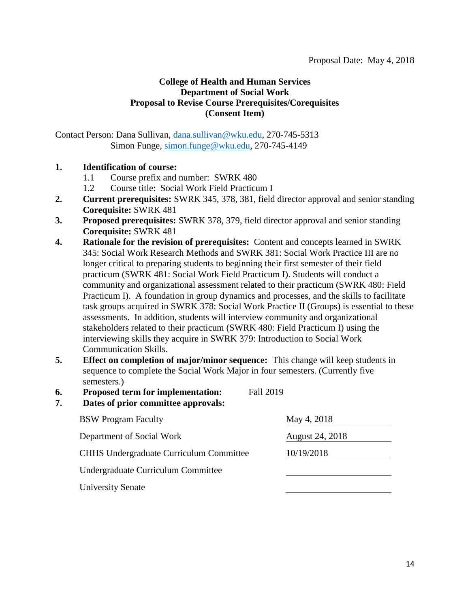Contact Person: Dana Sullivan, [dana.sullivan@wku.edu,](mailto:dana.sullivan@wku.edu) 270-745-5313 Simon Funge, [simon.funge@wku.edu,](mailto:simon.funge@wku.edu) 270-745-4149

### **1. Identification of course:**

- 1.1 Course prefix and number: SWRK 480
- 1.2 Course title: Social Work Field Practicum I
- **2. Current prerequisites:** SWRK 345, 378, 381, field director approval and senior standing **Corequisite:** SWRK 481
- **3. Proposed prerequisites:** SWRK 378, 379, field director approval and senior standing **Corequisite:** SWRK 481
- **4. Rationale for the revision of prerequisites:** Content and concepts learned in SWRK 345: Social Work Research Methods and SWRK 381: Social Work Practice III are no longer critical to preparing students to beginning their first semester of their field practicum (SWRK 481: Social Work Field Practicum I). Students will conduct a community and organizational assessment related to their practicum (SWRK 480: Field Practicum I). A foundation in group dynamics and processes, and the skills to facilitate task groups acquired in SWRK 378: Social Work Practice II (Groups) is essential to these assessments. In addition, students will interview community and organizational stakeholders related to their practicum (SWRK 480: Field Practicum I) using the interviewing skills they acquire in SWRK 379: Introduction to Social Work Communication Skills.
- **5. Effect on completion of major/minor sequence:** This change will keep students in sequence to complete the Social Work Major in four semesters. (Currently five semesters.)
- **6. Proposed term for implementation:** Fall 2019
- **7. Dates of prior committee approvals:**

| <b>BSW</b> Program Faculty                     | May 4, 2018     |
|------------------------------------------------|-----------------|
| Department of Social Work                      | August 24, 2018 |
| <b>CHHS</b> Undergraduate Curriculum Committee | 10/19/2018      |
| Undergraduate Curriculum Committee             |                 |
| <b>University Senate</b>                       |                 |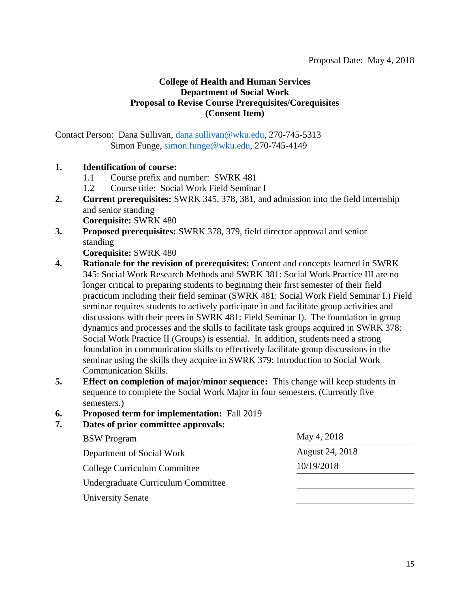Contact Person: Dana Sullivan, [dana.sullivan@wku.edu,](mailto:dana.sullivan@wku.edu) 270-745-5313 Simon Funge, [simon.funge@wku.edu,](mailto:simon.funge@wku.edu) 270-745-4149

### **1. Identification of course:**

- 1.1 Course prefix and number: SWRK 481
- 1.2 Course title: Social Work Field Seminar I
- **2. Current prerequisites:** SWRK 345, 378, 381, and admission into the field internship and senior standing **Corequisite:** SWRK 480
- **3. Proposed prerequisites:** SWRK 378, 379, field director approval and senior standing

**Corequisite:** SWRK 480

- **4. Rationale for the revision of prerequisites:** Content and concepts learned in SWRK 345: Social Work Research Methods and SWRK 381: Social Work Practice III are no longer critical to preparing students to beginning their first semester of their field practicum including their field seminar (SWRK 481: Social Work Field Seminar I.) Field seminar requires students to actively participate in and facilitate group activities and discussions with their peers in SWRK 481: Field Seminar I). The foundation in group dynamics and processes and the skills to facilitate task groups acquired in SWRK 378: Social Work Practice II (Groups) is essential. In addition, students need a strong foundation in communication skills to effectively facilitate group discussions in the seminar using the skills they acquire in SWRK 379: Introduction to Social Work Communication Skills.
- **5. Effect on completion of major/minor sequence:** This change will keep students in sequence to complete the Social Work Major in four semesters. (Currently five semesters.)
- **6. Proposed term for implementation:** Fall 2019

| <b>BSW</b> Program                 | May 4, 2018     |
|------------------------------------|-----------------|
| Department of Social Work          | August 24, 2018 |
| College Curriculum Committee       | 10/19/2018      |
| Undergraduate Curriculum Committee |                 |
| <b>University Senate</b>           |                 |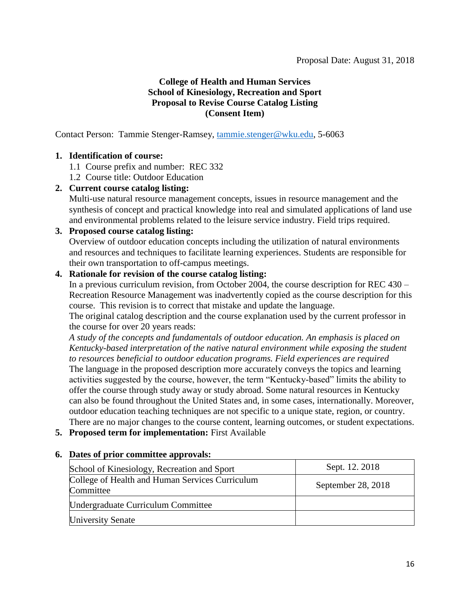### **College of Health and Human Services School of Kinesiology, Recreation and Sport Proposal to Revise Course Catalog Listing (Consent Item)**

Contact Person: Tammie Stenger-Ramsey, [tammie.stenger@wku.edu,](mailto:tammie.stenger@wku.edu) 5-6063

### **1. Identification of course:**

- 1.1 Course prefix and number: REC 332
- 1.2 Course title: Outdoor Education

### **2. Current course catalog listing:**

Multi-use natural resource management concepts, issues in resource management and the synthesis of concept and practical knowledge into real and simulated applications of land use and environmental problems related to the leisure service industry. Field trips required.

### **3. Proposed course catalog listing:**

Overview of outdoor education concepts including the utilization of natural environments and resources and techniques to facilitate learning experiences. Students are responsible for their own transportation to off-campus meetings.

### **4. Rationale for revision of the course catalog listing:**

In a previous curriculum revision, from October 2004, the course description for REC 430 – Recreation Resource Management was inadvertently copied as the course description for this course. This revision is to correct that mistake and update the language.

The original catalog description and the course explanation used by the current professor in the course for over 20 years reads:

*A study of the concepts and fundamentals of outdoor education. An emphasis is placed on Kentucky-based interpretation of the native natural environment while exposing the student to resources beneficial to outdoor education programs. Field experiences are required* The language in the proposed description more accurately conveys the topics and learning activities suggested by the course, however, the term "Kentucky-based" limits the ability to offer the course through study away or study abroad. Some natural resources in Kentucky can also be found throughout the United States and, in some cases, internationally. Moreover, outdoor education teaching techniques are not specific to a unique state, region, or country. There are no major changes to the course content, learning outcomes, or student expectations.

**5. Proposed term for implementation:** First Available

| School of Kinesiology, Recreation and Sport                  | Sept. 12. 2018     |
|--------------------------------------------------------------|--------------------|
| College of Health and Human Services Curriculum<br>Committee | September 28, 2018 |
| Undergraduate Curriculum Committee                           |                    |
| <b>University Senate</b>                                     |                    |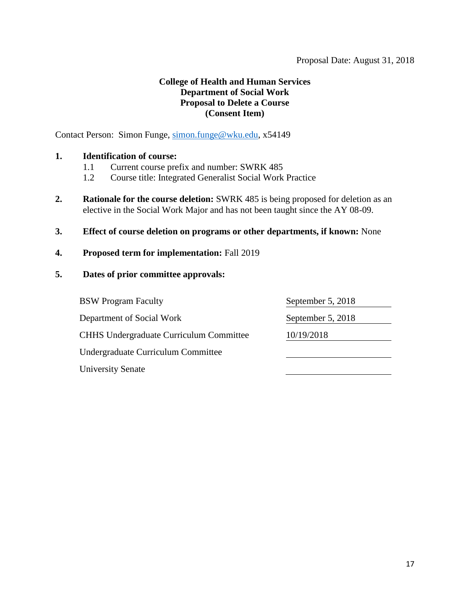### **College of Health and Human Services Department of Social Work Proposal to Delete a Course (Consent Item)**

Contact Person: Simon Funge, [simon.funge@wku.edu,](mailto:simon.funge@wku.edu) x54149

### **1. Identification of course:**

- 1.1 Current course prefix and number: SWRK 485
- 1.2 Course title: Integrated Generalist Social Work Practice
- **2. Rationale for the course deletion:** SWRK 485 is being proposed for deletion as an elective in the Social Work Major and has not been taught since the AY 08-09.
- **3. Effect of course deletion on programs or other departments, if known:** None
- **4. Proposed term for implementation:** Fall 2019
- **5. Dates of prior committee approvals:**

| <b>BSW</b> Program Faculty                     | September 5, 2018 |
|------------------------------------------------|-------------------|
| Department of Social Work                      | September 5, 2018 |
| <b>CHHS Undergraduate Curriculum Committee</b> | 10/19/2018        |
| Undergraduate Curriculum Committee             |                   |
| <b>University Senate</b>                       |                   |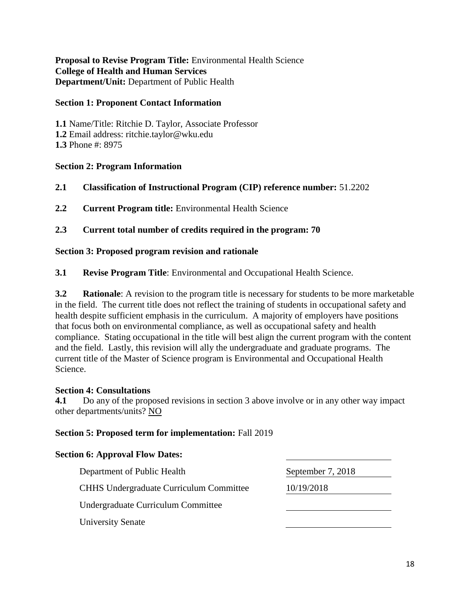**Proposal to Revise Program Title:** Environmental Health Science **College of Health and Human Services Department/Unit:** Department of Public Health

### **Section 1: Proponent Contact Information**

**1.1** Name/Title: Ritchie D. Taylor, Associate Professor **1.2** Email address: ritchie.taylor@wku.edu **1.3** Phone #: 8975

### **Section 2: Program Information**

- **2.1 Classification of Instructional Program (CIP) reference number:** 51.2202
- **2.2 Current Program title:** Environmental Health Science

### **2.3 Current total number of credits required in the program: 70**

#### **Section 3: Proposed program revision and rationale**

**3.1 Revise Program Title**: Environmental and Occupational Health Science.

**3.2 Rationale**: A revision to the program title is necessary for students to be more marketable in the field. The current title does not reflect the training of students in occupational safety and health despite sufficient emphasis in the curriculum. A majority of employers have positions that focus both on environmental compliance, as well as occupational safety and health compliance. Stating occupational in the title will best align the current program with the content and the field. Lastly, this revision will ally the undergraduate and graduate programs. The current title of the Master of Science program is Environmental and Occupational Health Science.

#### **Section 4: Consultations**

**4.1** Do any of the proposed revisions in section 3 above involve or in any other way impact other departments/units? NO

#### **Section 5: Proposed term for implementation:** Fall 2019

#### **Section 6: Approval Flow Dates:**

| Department of Public Health                    | September 7, 2018 |
|------------------------------------------------|-------------------|
| <b>CHHS Undergraduate Curriculum Committee</b> | 10/19/2018        |
| Undergraduate Curriculum Committee             |                   |
| <b>University Senate</b>                       |                   |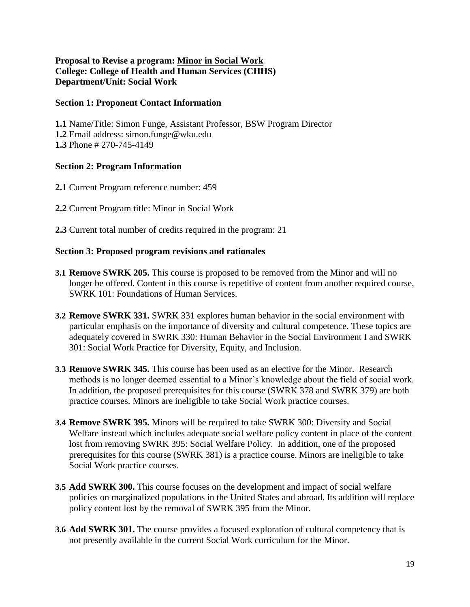### **Proposal to Revise a program: Minor in Social Work College: College of Health and Human Services (CHHS) Department/Unit: Social Work**

#### **Section 1: Proponent Contact Information**

**1.1** Name/Title: Simon Funge, Assistant Professor, BSW Program Director **1.2** Email address: simon.funge@wku.edu **1.3** Phone # 270-745-4149

#### **Section 2: Program Information**

- **2.1** Current Program reference number: 459
- **2.2** Current Program title: Minor in Social Work
- **2.3** Current total number of credits required in the program: 21

#### **Section 3: Proposed program revisions and rationales**

- **3.1 Remove SWRK 205.** This course is proposed to be removed from the Minor and will no longer be offered. Content in this course is repetitive of content from another required course, SWRK 101: Foundations of Human Services.
- **3.2 Remove SWRK 331.** SWRK 331 explores human behavior in the social environment with particular emphasis on the importance of diversity and cultural competence. These topics are adequately covered in SWRK 330: Human Behavior in the Social Environment I and SWRK 301: Social Work Practice for Diversity, Equity, and Inclusion.
- **3.3 Remove SWRK 345.** This course has been used as an elective for the Minor.Research methods is no longer deemed essential to a Minor's knowledge about the field of social work. In addition, the proposed prerequisites for this course (SWRK 378 and SWRK 379) are both practice courses. Minors are ineligible to take Social Work practice courses.
- **3.4 Remove SWRK 395.** Minors will be required to take SWRK 300: Diversity and Social Welfare instead which includes adequate social welfare policy content in place of the content lost from removing SWRK 395: Social Welfare Policy. In addition, one of the proposed prerequisites for this course (SWRK 381) is a practice course. Minors are ineligible to take Social Work practice courses.
- **3.5 Add SWRK 300.** This course focuses on the development and impact of social welfare policies on marginalized populations in the United States and abroad. Its addition will replace policy content lost by the removal of SWRK 395 from the Minor.
- **3.6 Add SWRK 301.** The course provides a focused exploration of cultural competency that is not presently available in the current Social Work curriculum for the Minor.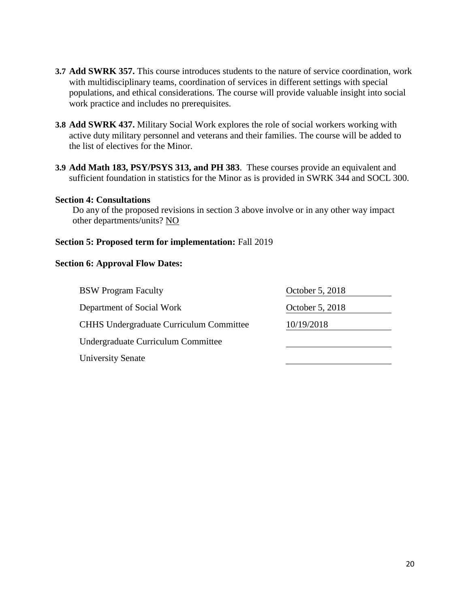- **3.7 Add SWRK 357.** This course introduces students to the nature of service coordination, work with multidisciplinary teams, coordination of services in different settings with special populations, and ethical considerations. The course will provide valuable insight into social work practice and includes no prerequisites.
- **3.8 Add SWRK 437.** Military Social Work explores the role of social workers working with active duty military personnel and veterans and their families. The course will be added to the list of electives for the Minor.
- **3.9 Add Math 183, PSY/PSYS 313, and PH 383**. These courses provide an equivalent and sufficient foundation in statistics for the Minor as is provided in SWRK 344 and SOCL 300.

#### **Section 4: Consultations**

Do any of the proposed revisions in section 3 above involve or in any other way impact other departments/units? NO

#### **Section 5: Proposed term for implementation:** Fall 2019

#### **Section 6: Approval Flow Dates:**

| <b>BSW</b> Program Faculty                     | October 5, 2018 |
|------------------------------------------------|-----------------|
| Department of Social Work                      | October 5, 2018 |
| <b>CHHS Undergraduate Curriculum Committee</b> | 10/19/2018      |
| Undergraduate Curriculum Committee             |                 |
| <b>University Senate</b>                       |                 |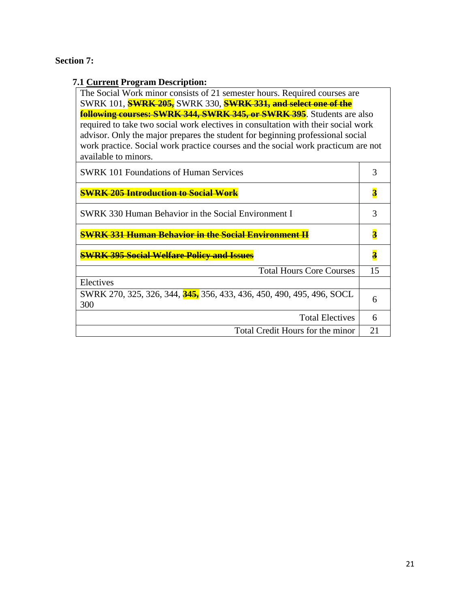# **Section 7:**

# **7.1 Current Program Description:**

| The Social Work minor consists of 21 semester hours. Required courses are         |
|-----------------------------------------------------------------------------------|
| SWRK 101, <b>SWRK 205</b> , SWRK 330, <b>SWRK 331, and select one of the</b>      |
| <b>following courses: SWRK 344, SWRK 345, or SWRK 395</b> . Students are also     |
| required to take two social work electives in consultation with their social work |
| advisor. Only the major prepares the student for beginning professional social    |
| work practice. Social work practice courses and the social work practicum are not |
| available to minors.                                                              |
|                                                                                   |

| <b>SWRK</b> 101 Foundations of Human Services                                |    |
|------------------------------------------------------------------------------|----|
| <b>SWRK 205 Introduction to Social Work</b>                                  |    |
| <b>SWRK 330 Human Behavior in the Social Environment I</b>                   |    |
| <b>SWRK 331 Human Behavior in the Social Environment II</b>                  |    |
| <b>SWRK 395 Social Welfare Policy and Issues</b>                             |    |
| <b>Total Hours Core Courses</b>                                              | 15 |
| Electives                                                                    |    |
| SWRK 270, 325, 326, 344, 345, 356, 433, 436, 450, 490, 495, 496, SOCL<br>300 | 6  |
| <b>Total Electives</b>                                                       | 6  |
| Total Credit Hours for the minor                                             | 21 |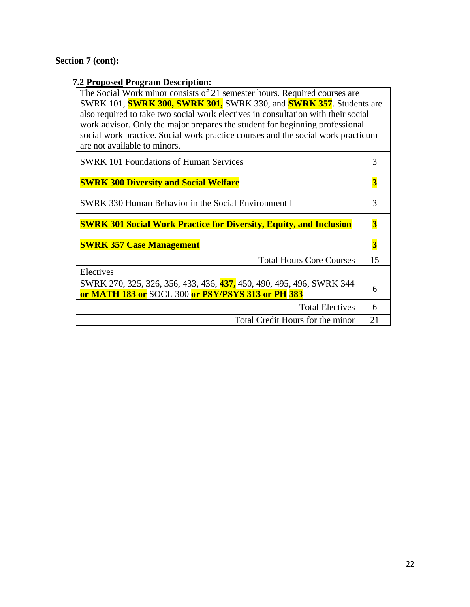# **Section 7 (cont):**

# **7.2 Proposed Program Description:**

| $\overline{\phantom{a}}$                                                          |                         |
|-----------------------------------------------------------------------------------|-------------------------|
| The Social Work minor consists of 21 semester hours. Required courses are         |                         |
| SWRK 101, <b>SWRK 300, SWRK 301,</b> SWRK 330, and <b>SWRK 357</b> . Students are |                         |
| also required to take two social work electives in consultation with their social |                         |
| work advisor. Only the major prepares the student for beginning professional      |                         |
| social work practice. Social work practice courses and the social work practicum  |                         |
| are not available to minors.                                                      |                         |
| <b>SWRK 101 Foundations of Human Services</b>                                     | 3                       |
|                                                                                   |                         |
| <b>SWRK 300 Diversity and Social Welfare</b>                                      | $\overline{\mathbf{3}}$ |
|                                                                                   |                         |
| <b>SWRK 330 Human Behavior in the Social Environment I</b>                        | 3                       |
|                                                                                   |                         |
| <b>SWRK 301 Social Work Practice for Diversity, Equity, and Inclusion</b>         | 3                       |
|                                                                                   |                         |
| <b>SWRK 357 Case Management</b>                                                   | 3                       |
| <b>Total Hours Core Courses</b>                                                   | 15                      |
| Electives                                                                         |                         |
| SWRK 270, 325, 326, 356, 433, 436, 437, 450, 490, 495, 496, SWRK 344              |                         |
| or MATH 183 or SOCL 300 or PSY/PSYS 313 or PH 383                                 | 6                       |
| <b>Total Electives</b>                                                            | 6                       |
| Total Credit Hours for the minor                                                  | 21                      |
|                                                                                   |                         |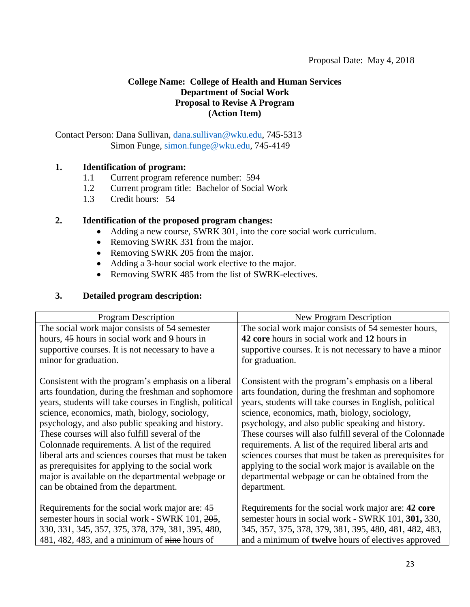### **College Name: College of Health and Human Services Department of Social Work Proposal to Revise A Program (Action Item)**

Contact Person: Dana Sullivan, [dana.sullivan@wku.edu,](mailto:dana.sullivan@wku.edu) 745-5313 Simon Funge, [simon.funge@wku.edu,](mailto:simon.funge@wku.edu) 745-4149

### **1. Identification of program:**

- 1.1 Current program reference number: 594
- 1.2 Current program title: Bachelor of Social Work
- 1.3 Credit hours: 54

### **2. Identification of the proposed program changes:**

- Adding a new course, SWRK 301, into the core social work curriculum.
- Removing SWRK 331 from the major.
- Removing SWRK 205 from the major.
- Adding a 3-hour social work elective to the major.
- Removing SWRK 485 from the list of SWRK-electives.

### **3. Detailed program description:**

| <b>Program Description</b>                                    | New Program Description                                    |
|---------------------------------------------------------------|------------------------------------------------------------|
| The social work major consists of 54 semester                 | The social work major consists of 54 semester hours,       |
| hours, 45 hours in social work and 9 hours in                 | 42 core hours in social work and 12 hours in               |
| supportive courses. It is not necessary to have a             | supportive courses. It is not necessary to have a minor    |
| minor for graduation.                                         | for graduation.                                            |
|                                                               |                                                            |
| Consistent with the program's emphasis on a liberal           | Consistent with the program's emphasis on a liberal        |
| arts foundation, during the freshman and sophomore            | arts foundation, during the freshman and sophomore         |
| years, students will take courses in English, political       | years, students will take courses in English, political    |
| science, economics, math, biology, sociology,                 | science, economics, math, biology, sociology,              |
| psychology, and also public speaking and history.             | psychology, and also public speaking and history.          |
| These courses will also fulfill several of the                | These courses will also fulfill several of the Colonnade   |
| Colonnade requirements. A list of the required                | requirements. A list of the required liberal arts and      |
| liberal arts and sciences courses that must be taken          | sciences courses that must be taken as prerequisites for   |
| as prerequisites for applying to the social work              | applying to the social work major is available on the      |
| major is available on the departmental webpage or             | departmental webpage or can be obtained from the           |
| can be obtained from the department.                          | department.                                                |
|                                                               |                                                            |
| Requirements for the social work major are: 45                | Requirements for the social work major are: 42 core        |
| semester hours in social work - SWRK 101, 205,                | semester hours in social work - SWRK 101, 301, 330,        |
| 330, <del>331</del> , 345, 357, 375, 378, 379, 381, 395, 480, | 345, 357, 375, 378, 379, 381, 395, 480, 481, 482, 483,     |
| 481, 482, 483, and a minimum of nine hours of                 | and a minimum of <b>twelve</b> hours of electives approved |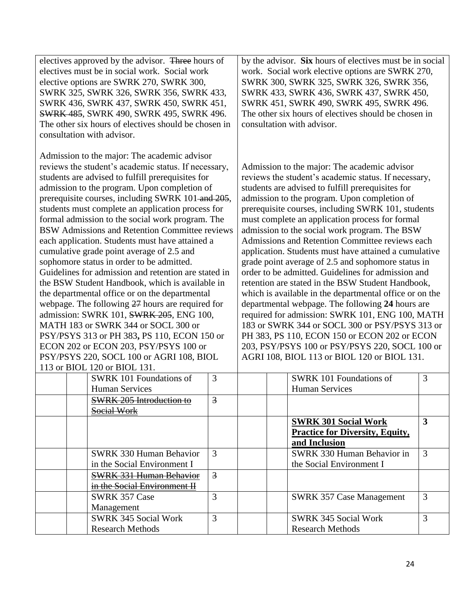| electives approved by the advisor. Three hours of<br>electives must be in social work. Social work<br>elective options are SWRK 270, SWRK 300,<br>SWRK 325, SWRK 326, SWRK 356, SWRK 433,<br>SWRK 436, SWRK 437, SWRK 450, SWRK 451,<br><b>SWRK 485, SWRK 490, SWRK 495, SWRK 496.</b><br>The other six hours of electives should be chosen in<br>consultation with advisor.                                                                                                                                                                                                                                                                                                                                                                                                                                                                                                                                                                                                                                                                  |                | by the advisor. Six hours of electives must be in social<br>work. Social work elective options are SWRK 270,<br>SWRK 300, SWRK 325, SWRK 326, SWRK 356,<br>SWRK 433, SWRK 436, SWRK 437, SWRK 450,<br>SWRK 451, SWRK 490, SWRK 495, SWRK 496.<br>The other six hours of electives should be chosen in<br>consultation with advisor.                                                                                                                                                                                                                                                                                                                                                                                                                                                                                                                                                                                                                                                                                   |              |
|-----------------------------------------------------------------------------------------------------------------------------------------------------------------------------------------------------------------------------------------------------------------------------------------------------------------------------------------------------------------------------------------------------------------------------------------------------------------------------------------------------------------------------------------------------------------------------------------------------------------------------------------------------------------------------------------------------------------------------------------------------------------------------------------------------------------------------------------------------------------------------------------------------------------------------------------------------------------------------------------------------------------------------------------------|----------------|-----------------------------------------------------------------------------------------------------------------------------------------------------------------------------------------------------------------------------------------------------------------------------------------------------------------------------------------------------------------------------------------------------------------------------------------------------------------------------------------------------------------------------------------------------------------------------------------------------------------------------------------------------------------------------------------------------------------------------------------------------------------------------------------------------------------------------------------------------------------------------------------------------------------------------------------------------------------------------------------------------------------------|--------------|
| Admission to the major: The academic advisor<br>reviews the student's academic status. If necessary,<br>students are advised to fulfill prerequisites for<br>admission to the program. Upon completion of<br>prerequisite courses, including SWRK 101 and 205,<br>students must complete an application process for<br>formal admission to the social work program. The<br>BSW Admissions and Retention Committee reviews<br>each application. Students must have attained a<br>cumulative grade point average of 2.5 and<br>sophomore status in order to be admitted.<br>Guidelines for admission and retention are stated in<br>the BSW Student Handbook, which is available in<br>the departmental office or on the departmental<br>webpage. The following 27 hours are required for<br>admission: SWRK 101, SWRK 205, ENG 100,<br>MATH 183 or SWRK 344 or SOCL 300 or<br>PSY/PSYS 313 or PH 383, PS 110, ECON 150 or<br>ECON 202 or ECON 203, PSY/PSYS 100 or<br>PSY/PSYS 220, SOCL 100 or AGRI 108, BIOL<br>113 or BIOL 120 or BIOL 131. |                | Admission to the major: The academic advisor<br>reviews the student's academic status. If necessary,<br>students are advised to fulfill prerequisites for<br>admission to the program. Upon completion of<br>prerequisite courses, including SWRK 101, students<br>must complete an application process for formal<br>admission to the social work program. The BSW<br>Admissions and Retention Committee reviews each<br>application. Students must have attained a cumulative<br>grade point average of 2.5 and sophomore status in<br>order to be admitted. Guidelines for admission and<br>retention are stated in the BSW Student Handbook,<br>which is available in the departmental office or on the<br>departmental webpage. The following 24 hours are<br>required for admission: SWRK 101, ENG 100, MATH<br>183 or SWRK 344 or SOCL 300 or PSY/PSYS 313 or<br>PH 383, PS 110, ECON 150 or ECON 202 or ECON<br>203, PSY/PSYS 100 or PSY/PSYS 220, SOCL 100 or<br>AGRI 108, BIOL 113 or BIOL 120 or BIOL 131. |              |
| SWRK 101 Foundations of<br><b>Human Services</b>                                                                                                                                                                                                                                                                                                                                                                                                                                                                                                                                                                                                                                                                                                                                                                                                                                                                                                                                                                                              | 3              | <b>SWRK 101 Foundations of</b><br><b>Human Services</b>                                                                                                                                                                                                                                                                                                                                                                                                                                                                                                                                                                                                                                                                                                                                                                                                                                                                                                                                                               | 3            |
| <b>SWRK 205 Introduction to</b><br>Social Work                                                                                                                                                                                                                                                                                                                                                                                                                                                                                                                                                                                                                                                                                                                                                                                                                                                                                                                                                                                                | 3              |                                                                                                                                                                                                                                                                                                                                                                                                                                                                                                                                                                                                                                                                                                                                                                                                                                                                                                                                                                                                                       |              |
|                                                                                                                                                                                                                                                                                                                                                                                                                                                                                                                                                                                                                                                                                                                                                                                                                                                                                                                                                                                                                                               |                | <b>SWRK 301 Social Work</b><br><b>Practice for Diversity, Equity,</b><br>and Inclusion                                                                                                                                                                                                                                                                                                                                                                                                                                                                                                                                                                                                                                                                                                                                                                                                                                                                                                                                | $\mathbf{3}$ |
| <b>SWRK 330 Human Behavior</b><br>in the Social Environment I                                                                                                                                                                                                                                                                                                                                                                                                                                                                                                                                                                                                                                                                                                                                                                                                                                                                                                                                                                                 | 3              | SWRK 330 Human Behavior in<br>the Social Environment I                                                                                                                                                                                                                                                                                                                                                                                                                                                                                                                                                                                                                                                                                                                                                                                                                                                                                                                                                                | 3            |
| <b>SWRK 331 Human Behavior</b><br>in the Social Environment II                                                                                                                                                                                                                                                                                                                                                                                                                                                                                                                                                                                                                                                                                                                                                                                                                                                                                                                                                                                | $\overline{3}$ |                                                                                                                                                                                                                                                                                                                                                                                                                                                                                                                                                                                                                                                                                                                                                                                                                                                                                                                                                                                                                       |              |
| <b>SWRK 357 Case</b><br>Management                                                                                                                                                                                                                                                                                                                                                                                                                                                                                                                                                                                                                                                                                                                                                                                                                                                                                                                                                                                                            | 3              | <b>SWRK 357 Case Management</b>                                                                                                                                                                                                                                                                                                                                                                                                                                                                                                                                                                                                                                                                                                                                                                                                                                                                                                                                                                                       | 3            |
| <b>SWRK 345 Social Work</b><br><b>Research Methods</b>                                                                                                                                                                                                                                                                                                                                                                                                                                                                                                                                                                                                                                                                                                                                                                                                                                                                                                                                                                                        | 3              | <b>SWRK 345 Social Work</b><br><b>Research Methods</b>                                                                                                                                                                                                                                                                                                                                                                                                                                                                                                                                                                                                                                                                                                                                                                                                                                                                                                                                                                | 3            |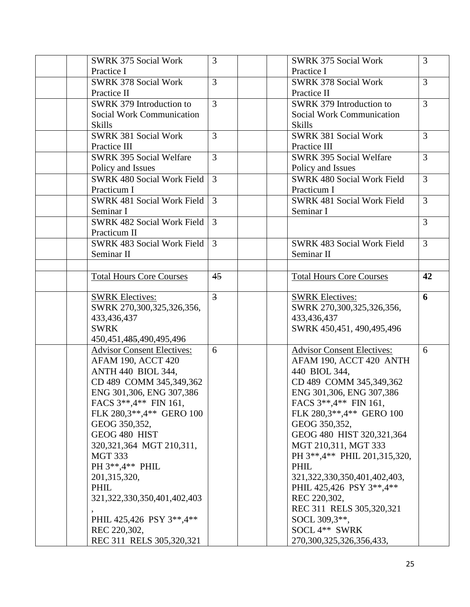| <b>SWRK 375 Social Work</b>                       | 3              | <b>SWRK 375 Social Work</b>              | 3              |
|---------------------------------------------------|----------------|------------------------------------------|----------------|
| Practice I                                        |                | Practice I                               |                |
| <b>SWRK 378 Social Work</b>                       | $\overline{3}$ | <b>SWRK 378 Social Work</b>              | $\overline{3}$ |
| Practice II                                       |                | Practice II                              |                |
| SWRK 379 Introduction to                          | $\overline{3}$ | SWRK 379 Introduction to                 | $\overline{3}$ |
| <b>Social Work Communication</b>                  |                | <b>Social Work Communication</b>         |                |
| <b>Skills</b>                                     |                | <b>Skills</b>                            |                |
| <b>SWRK 381 Social Work</b>                       | $\overline{3}$ | <b>SWRK 381 Social Work</b>              | $\overline{3}$ |
| Practice III                                      |                | Practice III                             |                |
| <b>SWRK 395 Social Welfare</b>                    | $\overline{3}$ | <b>SWRK 395 Social Welfare</b>           | 3              |
| Policy and Issues                                 |                | Policy and Issues                        |                |
| <b>SWRK 480 Social Work Field</b>                 | $\overline{3}$ | <b>SWRK 480 Social Work Field</b>        | $\overline{3}$ |
| Practicum I                                       |                | Practicum I                              |                |
| <b>SWRK 481 Social Work Field</b>                 | 3              | <b>SWRK 481 Social Work Field</b>        | 3              |
| Seminar I                                         |                | Seminar I                                |                |
| <b>SWRK 482 Social Work Field</b>                 | 3              |                                          | 3              |
| Practicum II                                      |                |                                          |                |
| <b>SWRK 483 Social Work Field</b>                 | 3              | <b>SWRK 483 Social Work Field</b>        | 3              |
| Seminar II                                        |                | Seminar II                               |                |
|                                                   |                |                                          |                |
| <b>Total Hours Core Courses</b>                   | 45             | <b>Total Hours Core Courses</b>          | 42             |
|                                                   |                |                                          |                |
| <b>SWRK Electives:</b>                            | $\overline{3}$ | <b>SWRK Electives:</b>                   | 6              |
| SWRK 270,300,325,326,356,                         |                | SWRK 270,300,325,326,356,                |                |
| 433,436,437                                       |                | 433,436,437                              |                |
| <b>SWRK</b>                                       |                | SWRK 450,451, 490,495,496                |                |
| 450, 451, 485, 490, 495, 496                      |                |                                          |                |
| <b>Advisor Consent Electives:</b>                 | 6              | <b>Advisor Consent Electives:</b>        | 6              |
| <b>AFAM 190, ACCT 420</b>                         |                | AFAM 190, ACCT 420 ANTH                  |                |
| <b>ANTH 440 BIOL 344,</b>                         |                | 440 BIOL 344,<br>CD 489 COMM 345,349,362 |                |
| CD 489 COMM 345,349,362                           |                |                                          |                |
| ENG 301,306, ENG 307,386                          |                | ENG 301,306, ENG 307,386                 |                |
| FACS 3**,4** FIN 161,<br>FLK 280,3**,4** GERO 100 |                | FACS 3**,4** FIN 161,                    |                |
|                                                   |                | FLK 280,3**,4** GERO 100                 |                |
| GEOG 350,352,                                     |                | GEOG 350,352,                            |                |
| GEOG 480 HIST                                     |                | GEOG 480 HIST 320,321,364                |                |
| 320, 321, 364 MGT 210, 311,                       |                | MGT 210,311, MGT 333                     |                |
| <b>MGT 333</b>                                    |                | PH 3**,4** PHIL 201,315,320,             |                |
| PH 3**,4** PHIL                                   |                | <b>PHIL</b>                              |                |
| 201, 315, 320,                                    |                | 321, 322, 330, 350, 401, 402, 403,       |                |
| PHIL                                              |                | PHIL 425,426 PSY 3**,4**                 |                |
| 321, 322, 330, 350, 401, 402, 403                 |                | REC 220,302,                             |                |
|                                                   |                | REC 311 RELS 305,320,321                 |                |
| PHIL 425,426 PSY 3**,4**                          |                | SOCL 309,3**,                            |                |
| REC 220,302,                                      |                | SOCL 4** SWRK                            |                |
| REC 311 RELS 305,320,321                          |                | 270,300,325,326,356,433,                 |                |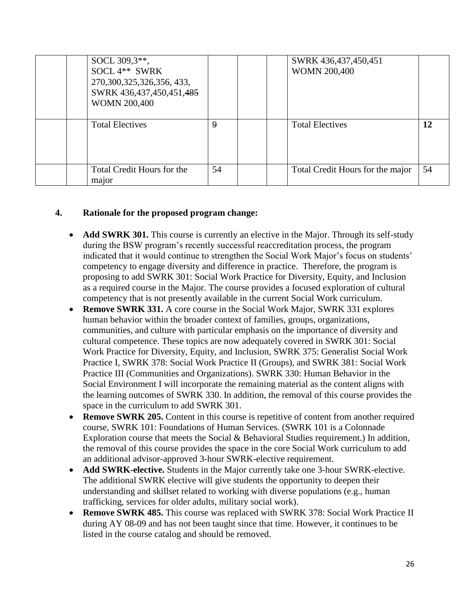| SOCL 309,3 <sup>**</sup> ,<br>SOCL 4** SWRK<br>270, 300, 325, 326, 356, 433,<br>SWRK 436,437,450,451,485<br><b>WOMN 200,400</b> |                  | SWRK 436,437,450,451<br><b>WOMN 200,400</b> |    |
|---------------------------------------------------------------------------------------------------------------------------------|------------------|---------------------------------------------|----|
| <b>Total Electives</b>                                                                                                          | $\boldsymbol{9}$ | <b>Total Electives</b>                      | 12 |
| Total Credit Hours for the<br>major                                                                                             | 54               | Total Credit Hours for the major            | 54 |

### **4. Rationale for the proposed program change:**

- **Add SWRK 301.** This course is currently an elective in the Major. Through its self-study during the BSW program's recently successful reaccreditation process, the program indicated that it would continue to strengthen the Social Work Major's focus on students' competency to engage diversity and difference in practice. Therefore, the program is proposing to add SWRK 301: Social Work Practice for Diversity, Equity, and Inclusion as a required course in the Major. The course provides a focused exploration of cultural competency that is not presently available in the current Social Work curriculum.
- **Remove SWRK 331.** A core course in the Social Work Major, SWRK 331 explores human behavior within the broader context of families, groups, organizations, communities, and culture with particular emphasis on the importance of diversity and cultural competence. These topics are now adequately covered in SWRK 301: Social Work Practice for Diversity, Equity, and Inclusion, SWRK 375: Generalist Social Work Practice I, SWRK 378: Social Work Practice II (Groups), and SWRK 381: Social Work Practice III (Communities and Organizations). SWRK 330: Human Behavior in the Social Environment I will incorporate the remaining material as the content aligns with the learning outcomes of SWRK 330. In addition, the removal of this course provides the space in the curriculum to add SWRK 301.
- **Remove SWRK 205.** Content in this course is repetitive of content from another required course, SWRK 101: Foundations of Human Services. (SWRK 101 is a Colonnade Exploration course that meets the Social & Behavioral Studies requirement.) In addition, the removal of this course provides the space in the core Social Work curriculum to add an additional advisor-approved 3-hour SWRK-elective requirement.
- **Add SWRK-elective.** Students in the Major currently take one 3-hour SWRK-elective. The additional SWRK elective will give students the opportunity to deepen their understanding and skillset related to working with diverse populations (e.g., human trafficking, services for older adults, military social work).
- **Remove SWRK 485.** This course was replaced with SWRK 378: Social Work Practice II during AY 08-09 and has not been taught since that time. However, it continues to be listed in the course catalog and should be removed.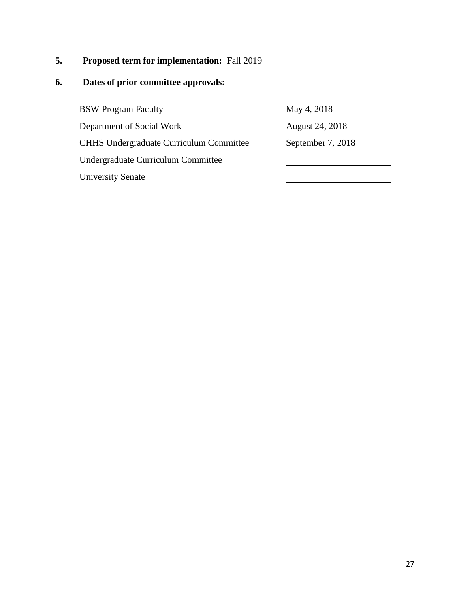# **5. Proposed term for implementation:** Fall 2019

# **6. Dates of prior committee approvals:**

BSW Program Faculty Department of Social Work CHHS Undergraduate Curriculum Committee Undergraduate Curriculum Committee University Senate

| May 4, 2018            |
|------------------------|
| <b>August 24, 2018</b> |
| September 7, 2018      |
|                        |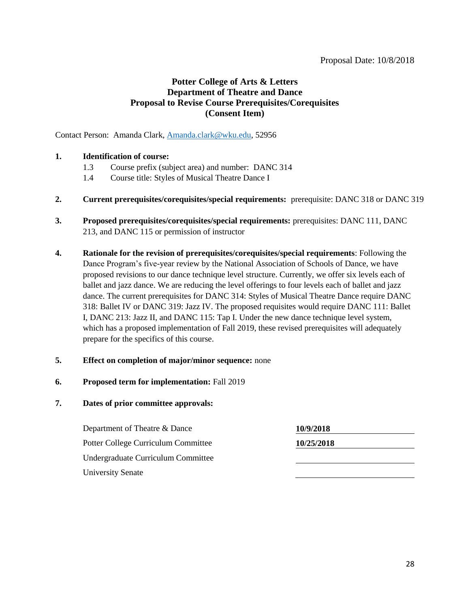#### Proposal Date: 10/8/2018

### **Potter College of Arts & Letters Department of Theatre and Dance Proposal to Revise Course Prerequisites/Corequisites (Consent Item)**

Contact Person: Amanda Clark, [Amanda.clark@wku.edu,](mailto:Amanda.clark@wku.edu) 52956

#### **1. Identification of course:**

- 1.3 Course prefix (subject area) and number: DANC 314
- 1.4 Course title: Styles of Musical Theatre Dance I
- **2. Current prerequisites/corequisites/special requirements:** prerequisite: DANC 318 or DANC 319
- **3. Proposed prerequisites/corequisites/special requirements:** prerequisites: DANC 111, DANC 213, and DANC 115 or permission of instructor
- **4. Rationale for the revision of prerequisites/corequisites/special requirements**: Following the Dance Program's five-year review by the National Association of Schools of Dance, we have proposed revisions to our dance technique level structure. Currently, we offer six levels each of ballet and jazz dance. We are reducing the level offerings to four levels each of ballet and jazz dance. The current prerequisites for DANC 314: Styles of Musical Theatre Dance require DANC 318: Ballet IV or DANC 319: Jazz IV. The proposed requisites would require DANC 111: Ballet I, DANC 213: Jazz II, and DANC 115: Tap I. Under the new dance technique level system, which has a proposed implementation of Fall 2019, these revised prerequisites will adequately prepare for the specifics of this course.
- **5. Effect on completion of major/minor sequence:** none
- **6. Proposed term for implementation:** Fall 2019
- **7. Dates of prior committee approvals:**

| Department of Theatre & Dance       | 10/9/2018  |
|-------------------------------------|------------|
| Potter College Curriculum Committee | 10/25/2018 |
| Undergraduate Curriculum Committee  |            |
| <b>University Senate</b>            |            |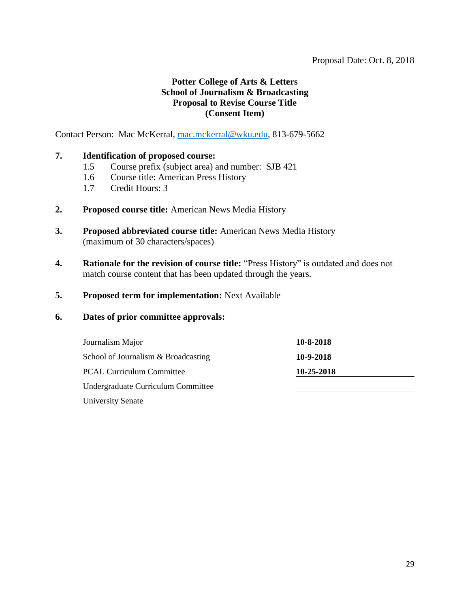#### Proposal Date: Oct. 8, 2018

### **Potter College of Arts & Letters School of Journalism & Broadcasting Proposal to Revise Course Title (Consent Item)**

Contact Person: Mac McKerral, [mac.mckerral@wku.edu,](mailto:mac.mckerral@wku.edu) 813-679-5662

#### **7. Identification of proposed course:**

- 1.5 Course prefix (subject area) and number: SJB 421
- 1.6 Course title: American Press History
- 1.7 Credit Hours: 3
- **2. Proposed course title:** American News Media History
- **3. Proposed abbreviated course title:** American News Media History (maximum of 30 characters/spaces)
- **4. Rationale for the revision of course title:** "Press History" is outdated and does not match course content that has been updated through the years.

#### **5. Proposed term for implementation:** Next Available

| Journalism Major                    | 10-8-2018  |  |
|-------------------------------------|------------|--|
| School of Journalism & Broadcasting | 10-9-2018  |  |
| <b>PCAL Curriculum Committee</b>    | 10-25-2018 |  |
| Undergraduate Curriculum Committee  |            |  |
| <b>University Senate</b>            |            |  |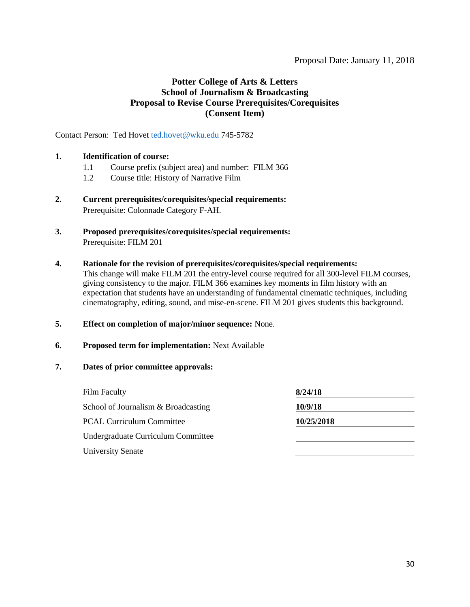### **Potter College of Arts & Letters School of Journalism & Broadcasting Proposal to Revise Course Prerequisites/Corequisites (Consent Item)**

Contact Person: Ted Hovet [ted.hovet@wku.edu](mailto:ted.hovet@wku.edu) 745-5782

#### **1. Identification of course:**

- 1.1 Course prefix (subject area) and number: FILM 366
- 1.2 Course title: History of Narrative Film
- **2. Current prerequisites/corequisites/special requirements:**  Prerequisite: Colonnade Category F-AH.
- **3. Proposed prerequisites/corequisites/special requirements:**  Prerequisite: FILM 201
- **4. Rationale for the revision of prerequisites/corequisites/special requirements:**

This change will make FILM 201 the entry-level course required for all 300-level FILM courses, giving consistency to the major. FILM 366 examines key moments in film history with an expectation that students have an understanding of fundamental cinematic techniques, including cinematography, editing, sound, and mise-en-scene. FILM 201 gives students this background.

- **5. Effect on completion of major/minor sequence:** None.
- **6. Proposed term for implementation:** Next Available
- **7. Dates of prior committee approvals:**

| 8/24/18    |  |
|------------|--|
| 10/9/18    |  |
| 10/25/2018 |  |
|            |  |
|            |  |
|            |  |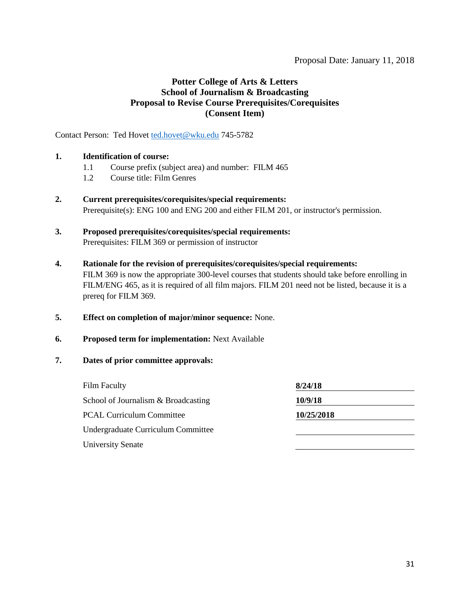### **Potter College of Arts & Letters School of Journalism & Broadcasting Proposal to Revise Course Prerequisites/Corequisites (Consent Item)**

Contact Person: Ted Hovet [ted.hovet@wku.edu](mailto:ted.hovet@wku.edu) 745-5782

#### **1. Identification of course:**

- 1.1 Course prefix (subject area) and number: FILM 465
- 1.2 Course title: Film Genres
- **2. Current prerequisites/corequisites/special requirements:**  Prerequisite(s): ENG 100 and ENG 200 and either FILM 201, or instructor's permission.
- **3. Proposed prerequisites/corequisites/special requirements:** Prerequisites: FILM 369 or permission of instructor
- **4. Rationale for the revision of prerequisites/corequisites/special requirements:** FILM 369 is now the appropriate 300-level courses that students should take before enrolling in FILM/ENG 465, as it is required of all film majors. FILM 201 need not be listed, because it is a prereq for FILM 369.
- **5. Effect on completion of major/minor sequence:** None.
- **6. Proposed term for implementation:** Next Available
- **7. Dates of prior committee approvals:**

| <b>Film Faculty</b>                 | 8/24/18    |  |
|-------------------------------------|------------|--|
| School of Journalism & Broadcasting | 10/9/18    |  |
| <b>PCAL Curriculum Committee</b>    | 10/25/2018 |  |
| Undergraduate Curriculum Committee  |            |  |
| <b>University Senate</b>            |            |  |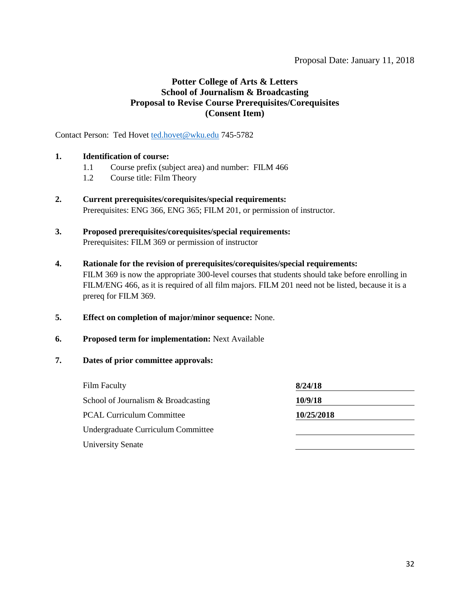### **Potter College of Arts & Letters School of Journalism & Broadcasting Proposal to Revise Course Prerequisites/Corequisites (Consent Item)**

Contact Person: Ted Hovet [ted.hovet@wku.edu](mailto:ted.hovet@wku.edu) 745-5782

#### **1. Identification of course:**

- 1.1 Course prefix (subject area) and number: FILM 466
- 1.2 Course title: Film Theory
- **2. Current prerequisites/corequisites/special requirements:**  Prerequisites: ENG 366, ENG 365; FILM 201, or permission of instructor.
- **3. Proposed prerequisites/corequisites/special requirements:** Prerequisites: FILM 369 or permission of instructor
- **4. Rationale for the revision of prerequisites/corequisites/special requirements:** FILM 369 is now the appropriate 300-level courses that students should take before enrolling in FILM/ENG 466, as it is required of all film majors. FILM 201 need not be listed, because it is a prereq for FILM 369.
- **5. Effect on completion of major/minor sequence:** None.
- **6. Proposed term for implementation:** Next Available
- **7. Dates of prior committee approvals:**

| <b>Film Faculty</b>                 | 8/24/18    |
|-------------------------------------|------------|
| School of Journalism & Broadcasting | 10/9/18    |
| <b>PCAL Curriculum Committee</b>    | 10/25/2018 |
| Undergraduate Curriculum Committee  |            |
| <b>University Senate</b>            |            |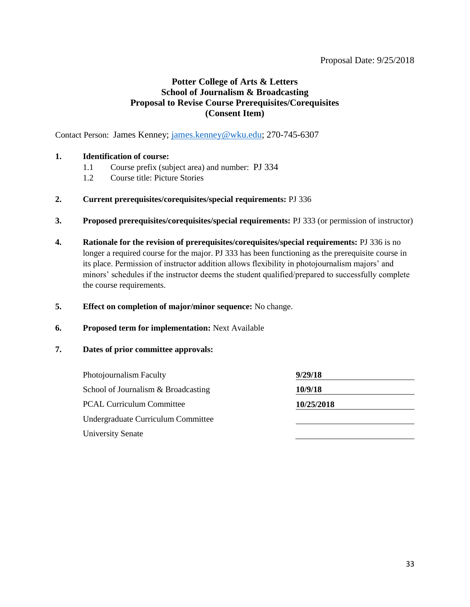#### Proposal Date: 9/25/2018

### **Potter College of Arts & Letters School of Journalism & Broadcasting Proposal to Revise Course Prerequisites/Corequisites (Consent Item)**

Contact Person: James Kenney; [james.kenney@wku.edu;](mailto:james.kenney@wku.edu) 270-745-6307

#### **1. Identification of course:**

- 1.1 Course prefix (subject area) and number: PJ 334
- 1.2 Course title: Picture Stories
- **2. Current prerequisites/corequisites/special requirements:** PJ 336
- **3. Proposed prerequisites/corequisites/special requirements:** PJ 333 (or permission of instructor)
- **4. Rationale for the revision of prerequisites/corequisites/special requirements:** PJ 336 is no longer a required course for the major. PJ 333 has been functioning as the prerequisite course in its place. Permission of instructor addition allows flexibility in photojournalism majors' and minors' schedules if the instructor deems the student qualified/prepared to successfully complete the course requirements.
- **5. Effect on completion of major/minor sequence:** No change.
- **6. Proposed term for implementation:** Next Available

| Photojournalism Faculty             | 9/29/18    |  |
|-------------------------------------|------------|--|
| School of Journalism & Broadcasting | 10/9/18    |  |
| <b>PCAL Curriculum Committee</b>    | 10/25/2018 |  |
| Undergraduate Curriculum Committee  |            |  |
| <b>University Senate</b>            |            |  |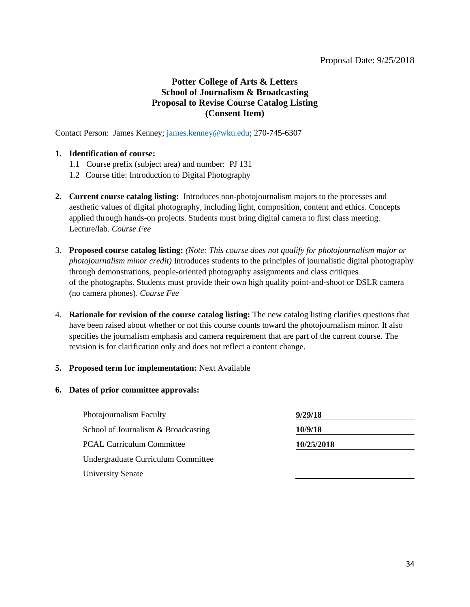#### Proposal Date: 9/25/2018

### **Potter College of Arts & Letters School of Journalism & Broadcasting Proposal to Revise Course Catalog Listing (Consent Item)**

Contact Person: James Kenney; [james.kenney@wku.edu;](mailto:james.kenney@wku.edu) 270-745-6307

#### **1. Identification of course:**

- 1.1 Course prefix (subject area) and number: PJ 131
- 1.2 Course title: Introduction to Digital Photography
- **2. Current course catalog listing:** Introduces non-photojournalism majors to the processes and aesthetic values of digital photography, including light, composition, content and ethics. Concepts applied through hands-on projects. Students must bring digital camera to first class meeting. Lecture/lab. *Course Fee*
- 3. **Proposed course catalog listing:** *(Note: This course does not qualify for photojournalism major or photojournalism minor credit)* Introduces students to the principles of journalistic digital photography through demonstrations, people-oriented photography assignments and class critiques of the photographs. Students must provide their own high quality point-and-shoot or DSLR camera (no camera phones). *Course Fee*
- 4. **Rationale for revision of the course catalog listing:** The new catalog listing clarifies questions that have been raised about whether or not this course counts toward the photojournalism minor. It also specifies the journalism emphasis and camera requirement that are part of the current course. The revision is for clarification only and does not reflect a content change.

#### **5. Proposed term for implementation:** Next Available

| Photojournalism Faculty             | 9/29/18    |
|-------------------------------------|------------|
| School of Journalism & Broadcasting | 10/9/18    |
| <b>PCAL Curriculum Committee</b>    | 10/25/2018 |
| Undergraduate Curriculum Committee  |            |
| University Senate                   |            |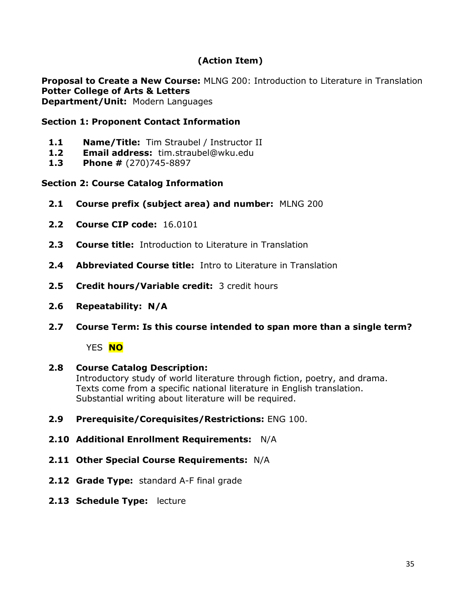# **(Action Item)**

**Proposal to Create a New Course:** MLNG 200: Introduction to Literature in Translation **Potter College of Arts & Letters Department/Unit:** Modern Languages

### **Section 1: Proponent Contact Information**

- **1.1 Name/Title:** Tim Straubel / Instructor II
- **1.2 Email address:** tim.straubel@wku.edu
- **1.3 Phone #** (270)745-8897

### **Section 2: Course Catalog Information**

- **2.1 Course prefix (subject area) and number:** MLNG 200
- **2.2 Course CIP code:** 16.0101
- **2.3 Course title:** Introduction to Literature in Translation
- **2.4 Abbreviated Course title:** Intro to Literature in Translation
- **2.5 Credit hours/Variable credit:** 3 credit hours
- **2.6 Repeatability: N/A**
- **2.7 Course Term: Is this course intended to span more than a single term?**

YES **NO**

## **2.8 Course Catalog Description:**

Introductory study of world literature through fiction, poetry, and drama. Texts come from a specific national literature in English translation. Substantial writing about literature will be required.

- **2.9 Prerequisite/Corequisites/Restrictions:** ENG 100.
- **2.10 Additional Enrollment Requirements:** N/A
- **2.11 Other Special Course Requirements:** N/A
- **2.12 Grade Type:** standard A-F final grade
- **2.13 Schedule Type:** lecture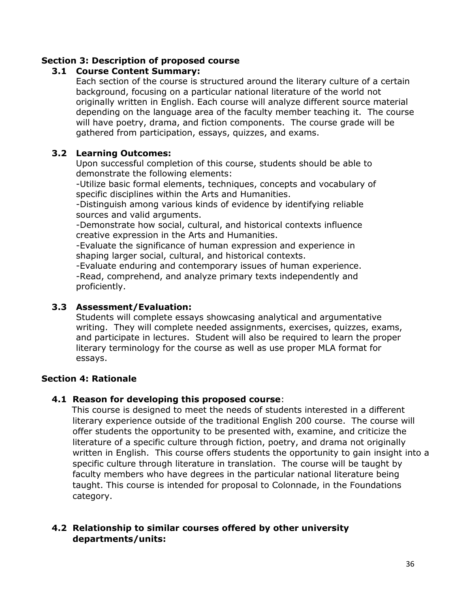### **Section 3: Description of proposed course**

### **3.1 Course Content Summary:**

Each section of the course is structured around the literary culture of a certain background, focusing on a particular national literature of the world not originally written in English. Each course will analyze different source material depending on the language area of the faculty member teaching it. The course will have poetry, drama, and fiction components. The course grade will be gathered from participation, essays, quizzes, and exams.

### **3.2 Learning Outcomes:**

Upon successful completion of this course, students should be able to demonstrate the following elements:

 -Utilize basic formal elements, techniques, concepts and vocabulary of specific disciplines within the Arts and Humanities.

 -Distinguish among various kinds of evidence by identifying reliable sources and valid arguments.

 -Demonstrate how social, cultural, and historical contexts influence creative expression in the Arts and Humanities.

 -Evaluate the significance of human expression and experience in shaping larger social, cultural, and historical contexts.

 -Evaluate enduring and contemporary issues of human experience. -Read, comprehend, and analyze primary texts independently and proficiently.

### **3.3 Assessment/Evaluation:**

Students will complete essays showcasing analytical and argumentative writing. They will complete needed assignments, exercises, quizzes, exams, and participate in lectures. Student will also be required to learn the proper literary terminology for the course as well as use proper MLA format for essays.

### **Section 4: Rationale**

#### **4.1 Reason for developing this proposed course**:

This course is designed to meet the needs of students interested in a different literary experience outside of the traditional English 200 course. The course will offer students the opportunity to be presented with, examine, and criticize the literature of a specific culture through fiction, poetry, and drama not originally written in English. This course offers students the opportunity to gain insight into a specific culture through literature in translation. The course will be taught by faculty members who have degrees in the particular national literature being taught. This course is intended for proposal to Colonnade, in the Foundations category.

### **4.2 Relationship to similar courses offered by other university departments/units:**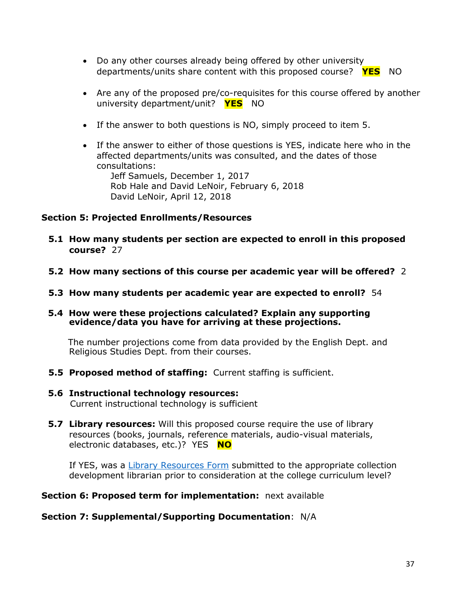- Do any other courses already being offered by other university departments/units share content with this proposed course? **YES** NO
- Are any of the proposed pre/co-requisites for this course offered by another university department/unit? **YES** NO
- If the answer to both questions is NO, simply proceed to item 5.
- If the answer to either of those questions is YES, indicate here who in the affected departments/units was consulted, and the dates of those consultations:

Jeff Samuels, December 1, 2017 Rob Hale and David LeNoir, February 6, 2018 David LeNoir, April 12, 2018

### **Section 5: Projected Enrollments/Resources**

- **5.1 How many students per section are expected to enroll in this proposed course?** 27
- **5.2 How many sections of this course per academic year will be offered?** 2
- **5.3 How many students per academic year are expected to enroll?** 54

#### **5.4 How were these projections calculated? Explain any supporting evidence/data you have for arriving at these projections.**

The number projections come from data provided by the English Dept. and Religious Studies Dept. from their courses.

- **5.5 Proposed method of staffing:** Current staffing is sufficient.
- **5.6 Instructional technology resources:**  Current instructional technology is sufficient
- **5.7 Library resources:** Will this proposed course require the use of library resources (books, journals, reference materials, audio-visual materials, electronic databases, etc.)? YES **NO**

If YES, was a [Library Resources Form](https://www.wku.edu/library/forms.php) submitted to the appropriate collection development librarian prior to consideration at the college curriculum level?

#### **Section 6: Proposed term for implementation:** next available

#### **Section 7: Supplemental/Supporting Documentation**: N/A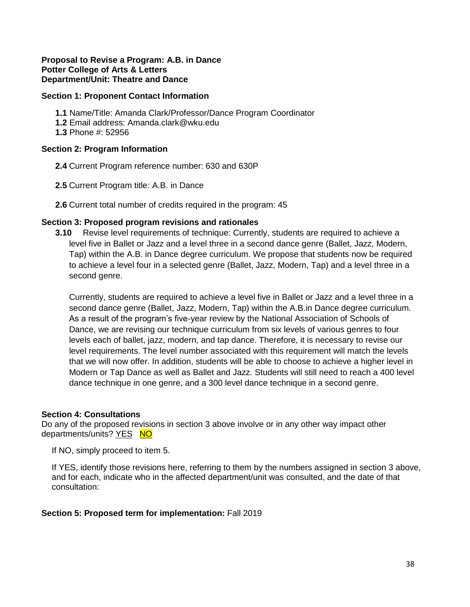#### **Proposal to Revise a Program: A.B. in Dance Potter College of Arts & Letters Department/Unit: Theatre and Dance**

#### **Section 1: Proponent Contact Information**

- **1.1** Name/Title: Amanda Clark/Professor/Dance Program Coordinator
- **1.2** Email address: Amanda.clark@wku.edu
- **1.3** Phone #: 52956

#### **Section 2: Program Information**

- **2.4** Current Program reference number: 630 and 630P
- **2.5** Current Program title: A.B. in Dance
- **2.6** Current total number of credits required in the program: 45

#### **Section 3: Proposed program revisions and rationales**

**3.10** Revise level requirements of technique: Currently, students are required to achieve a level five in Ballet or Jazz and a level three in a second dance genre (Ballet, Jazz, Modern, Tap) within the A.B. in Dance degree curriculum. We propose that students now be required to achieve a level four in a selected genre (Ballet, Jazz, Modern, Tap) and a level three in a second genre.

Currently, students are required to achieve a level five in Ballet or Jazz and a level three in a second dance genre (Ballet, Jazz, Modern, Tap) within the A.B.in Dance degree curriculum. As a result of the program's five-year review by the National Association of Schools of Dance, we are revising our technique curriculum from six levels of various genres to four levels each of ballet, jazz, modern, and tap dance. Therefore, it is necessary to revise our level requirements. The level number associated with this requirement will match the levels that we will now offer. In addition, students will be able to choose to achieve a higher level in Modern or Tap Dance as well as Ballet and Jazz. Students will still need to reach a 400 level dance technique in one genre, and a 300 level dance technique in a second genre.

#### **Section 4: Consultations**

Do any of the proposed revisions in section 3 above involve or in any other way impact other departments/units? YES NO

If NO, simply proceed to item 5.

If YES, identify those revisions here, referring to them by the numbers assigned in section 3 above, and for each, indicate who in the affected department/unit was consulted, and the date of that consultation:

#### **Section 5: Proposed term for implementation:** Fall 2019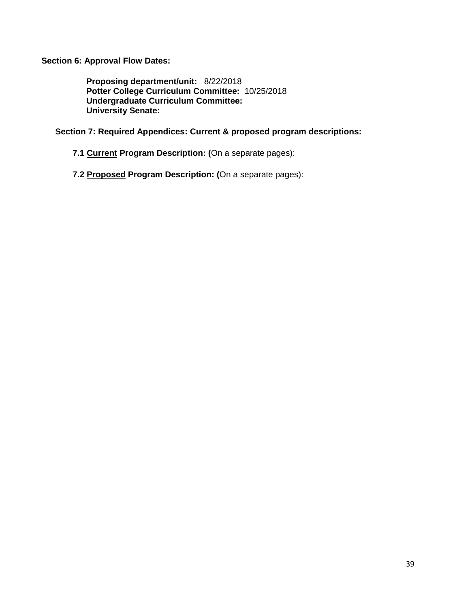**Section 6: Approval Flow Dates:** 

**Proposing department/unit:** 8/22/2018 **Potter College Curriculum Committee:** 10/25/2018 **Undergraduate Curriculum Committee: University Senate:**

**Section 7: Required Appendices: Current & proposed program descriptions:** 

**7.1 Current Program Description: (**On a separate pages):

**7.2 Proposed Program Description: (**On a separate pages):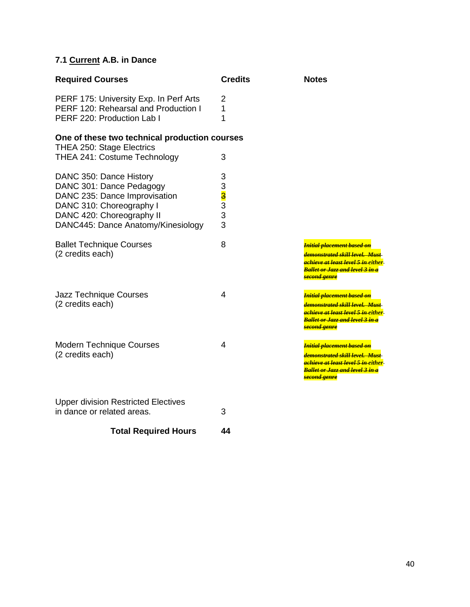# **7.1 Current A.B. in Dance**

| <b>Required Courses</b>                                                                                                                                                             | <b>Credits</b>             | <b>Notes</b>                                                                                                                                                                                                            |
|-------------------------------------------------------------------------------------------------------------------------------------------------------------------------------------|----------------------------|-------------------------------------------------------------------------------------------------------------------------------------------------------------------------------------------------------------------------|
| PERF 175: University Exp. In Perf Arts<br>PERF 120: Rehearsal and Production I<br>PERF 220: Production Lab I                                                                        | 2<br>1<br>1                |                                                                                                                                                                                                                         |
| One of these two technical production courses<br>THEA 250: Stage Electrics<br>THEA 241: Costume Technology                                                                          | 3                          |                                                                                                                                                                                                                         |
| DANC 350: Dance History<br>DANC 301: Dance Pedagogy<br>DANC 235: Dance Improvisation<br>DANC 310: Choreography I<br>DANC 420: Choreography II<br>DANC445: Dance Anatomy/Kinesiology | 3<br>3<br>3<br>3<br>3<br>3 |                                                                                                                                                                                                                         |
| <b>Ballet Technique Courses</b><br>(2 credits each)                                                                                                                                 | 8                          | <mark>Initial placement based on</mark><br><del>demonstrated skill level.  Must-</del><br><mark>achieve at least level 5 in-</mark> either<br><mark>Ballet or Jazz and level 3 in a</mark><br><mark>second genre</mark> |
| Jazz Technique Courses<br>(2 credits each)                                                                                                                                          | 4                          | <del>Initial placement based on</del><br><del>demonstrated skill level.  Must-</del><br><mark>achieve at least level 5 in e</mark> ither<br><mark>Ballet or Jazz and level 3 in a</mark><br><mark>second genre</mark>   |
| <b>Modern Technique Courses</b><br>(2 credits each)                                                                                                                                 | $\overline{4}$             | <mark>Initial placement based on</mark><br><mark>demonstrated skill level.  Must</mark> -<br><del>achieve at least level 5 in-</del> either<br><mark>Ballet or Jazz and level 3 in a</mark><br><del>second genre</del>  |
| <b>Upper division Restricted Electives</b><br>in dance or related areas.                                                                                                            | 3                          |                                                                                                                                                                                                                         |

# **Total Required Hours 44**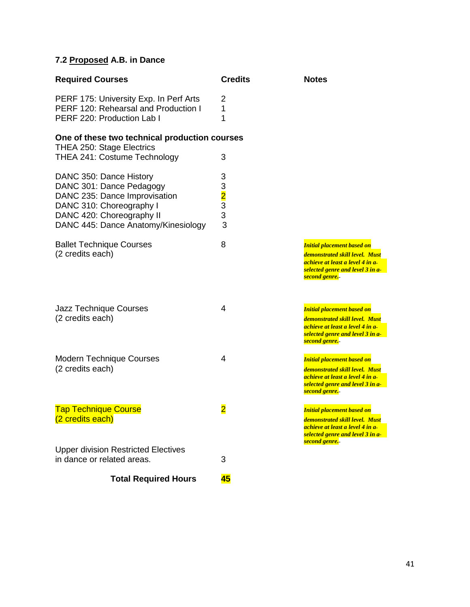# **7.2 Proposed A.B. in Dance**

| <b>Required Courses</b>                                                                                                                                                              | <b>Credits</b>                  | <b>Notes</b>                                                                                                                                                          |  |
|--------------------------------------------------------------------------------------------------------------------------------------------------------------------------------------|---------------------------------|-----------------------------------------------------------------------------------------------------------------------------------------------------------------------|--|
| PERF 175: University Exp. In Perf Arts<br>PERF 120: Rehearsal and Production I<br>PERF 220: Production Lab I                                                                         | 2<br>1<br>1                     |                                                                                                                                                                       |  |
| One of these two technical production courses                                                                                                                                        |                                 |                                                                                                                                                                       |  |
| <b>THEA 250: Stage Electrics</b><br>THEA 241: Costume Technology                                                                                                                     | 3                               |                                                                                                                                                                       |  |
| DANC 350: Dance History<br>DANC 301: Dance Pedagogy<br>DANC 235: Dance Improvisation<br>DANC 310: Choreography I<br>DANC 420: Choreography II<br>DANC 445: Dance Anatomy/Kinesiology | 3<br>$\frac{3}{2}$ $3$ $3$<br>3 |                                                                                                                                                                       |  |
| <b>Ballet Technique Courses</b><br>(2 credits each)                                                                                                                                  | 8                               | <b>Initial placement based on</b><br>demonstrated skill level. Must<br>achieve at least a level 4 in a-<br>selected genre and level 3 in a-<br><b>second genre.</b> - |  |
| Jazz Technique Courses<br>(2 credits each)                                                                                                                                           | 4                               | <b>Initial placement based on</b><br>demonstrated skill level. Must<br>achieve at least a level 4 in a-<br>selected genre and level 3 in a-<br><b>second genre.</b> - |  |
| <b>Modern Technique Courses</b><br>(2 credits each)                                                                                                                                  | 4                               | <b>Initial placement based on</b><br>demonstrated skill level. Must<br>achieve at least a level 4 in a-<br>selected genre and level 3 in a<br><b>second genre.</b> -  |  |
| <b>Tap Technique Course</b><br>(2 credits each)                                                                                                                                      | $\overline{\mathbf{2}}$         | <b>Initial placement based on</b><br>demonstrated skill level. Must<br>achieve at least a level 4 in a-<br>selected genre and level 3 in a-<br>second genre.          |  |
| <b>Upper division Restricted Electives</b><br>in dance or related areas.                                                                                                             | 3                               |                                                                                                                                                                       |  |
| <b>Total Required Hours</b>                                                                                                                                                          | 45                              |                                                                                                                                                                       |  |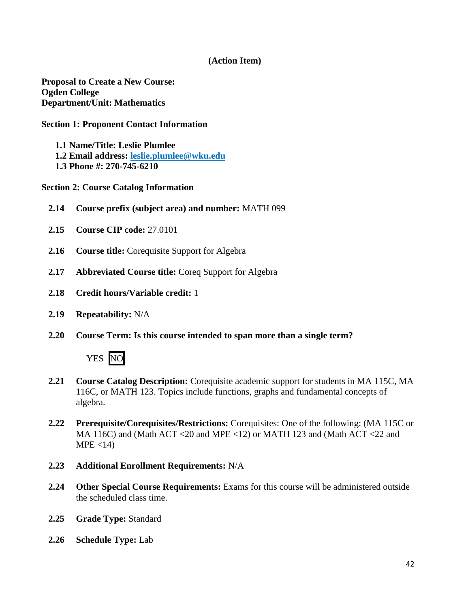### **(Action Item)**

**Proposal to Create a New Course: Ogden College Department/Unit: Mathematics**

#### **Section 1: Proponent Contact Information**

- **1.1 Name/Title: Leslie Plumlee**
- **1.2 Email address: [leslie.plumlee@wku.edu](mailto:leslie.plumlee@wku.edu)**
- **1.3 Phone #: 270-745-6210**

**Section 2: Course Catalog Information** 

- **2.14 Course prefix (subject area) and number:** MATH 099
- **2.15 Course CIP code:** 27.0101
- **2.16 Course title:** Corequisite Support for Algebra
- **2.17 Abbreviated Course title:** Coreq Support for Algebra
- **2.18 Credit hours/Variable credit:** 1
- **2.19 Repeatability:** N/A
- **2.20 Course Term: Is this course intended to span more than a single term?**



- **2.21 Course Catalog Description:** Corequisite academic support for students in MA 115C, MA 116C, or MATH 123. Topics include functions, graphs and fundamental concepts of algebra.
- **2.22 Prerequisite/Corequisites/Restrictions:** Corequisites: One of the following: (MA 115C or MA 116C) and (Math ACT <20 and MPE <12) or MATH 123 and (Math ACT <22 and  $MPE < 14$ )
- **2.23 Additional Enrollment Requirements:** N/A
- **2.24 Other Special Course Requirements:** Exams for this course will be administered outside the scheduled class time.
- **2.25 Grade Type:** Standard
- **2.26 Schedule Type:** Lab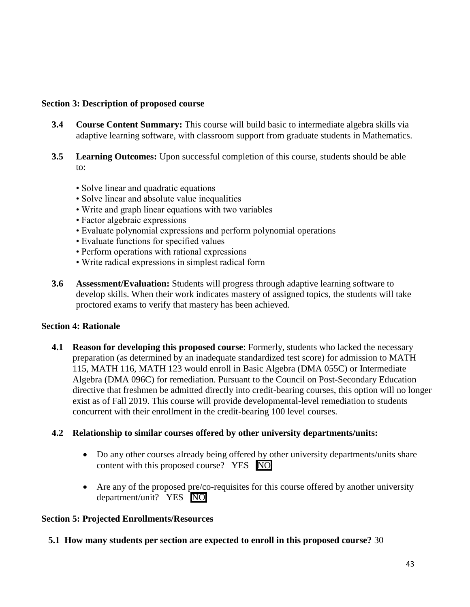### **Section 3: Description of proposed course**

- **3.4 Course Content Summary:** This course will build basic to intermediate algebra skills via adaptive learning software, with classroom support from graduate students in Mathematics.
- **3.5 Learning Outcomes:** Upon successful completion of this course, students should be able to:
	- Solve linear and quadratic equations
	- Solve linear and absolute value inequalities
	- Write and graph linear equations with two variables
	- Factor algebraic expressions
	- Evaluate polynomial expressions and perform polynomial operations
	- Evaluate functions for specified values
	- Perform operations with rational expressions
	- Write radical expressions in simplest radical form
- **3.6 Assessment/Evaluation:** Students will progress through adaptive learning software to develop skills. When their work indicates mastery of assigned topics, the students will take proctored exams to verify that mastery has been achieved.

#### **Section 4: Rationale**

**4.1 Reason for developing this proposed course**: Formerly, students who lacked the necessary preparation (as determined by an inadequate standardized test score) for admission to MATH 115, MATH 116, MATH 123 would enroll in Basic Algebra (DMA 055C) or Intermediate Algebra (DMA 096C) for remediation. Pursuant to the Council on Post-Secondary Education directive that freshmen be admitted directly into credit-bearing courses, this option will no longer exist as of Fall 2019. This course will provide developmental-level remediation to students concurrent with their enrollment in the credit-bearing 100 level courses.

#### **4.2 Relationship to similar courses offered by other university departments/units:**

- Do any other courses already being offered by other university departments/units share content with this proposed course? YES NO
- Are any of the proposed pre/co-requisites for this course offered by another university department/unit? YES NO

#### **Section 5: Projected Enrollments/Resources**

#### **5.1 How many students per section are expected to enroll in this proposed course?** 30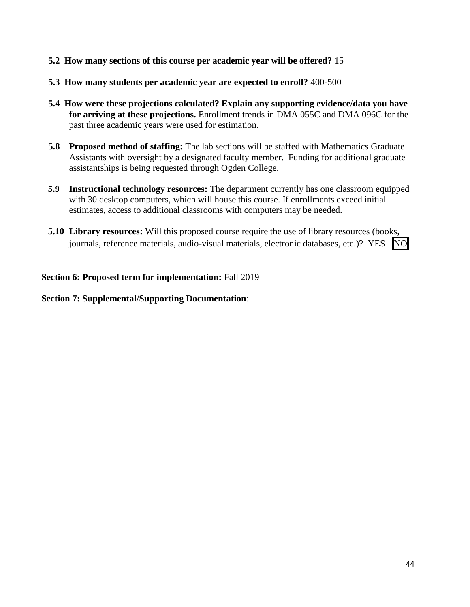- **5.2 How many sections of this course per academic year will be offered?** 15
- **5.3 How many students per academic year are expected to enroll?** 400-500
- **5.4 How were these projections calculated? Explain any supporting evidence/data you have for arriving at these projections.** Enrollment trends in DMA 055C and DMA 096C for the past three academic years were used for estimation.
- **5.8 Proposed method of staffing:** The lab sections will be staffed with Mathematics Graduate Assistants with oversight by a designated faculty member. Funding for additional graduate assistantships is being requested through Ogden College.
- **5.9 Instructional technology resources:** The department currently has one classroom equipped with 30 desktop computers, which will house this course. If enrollments exceed initial estimates, access to additional classrooms with computers may be needed.
- **5.10 Library resources:** Will this proposed course require the use of library resources (books, journals, reference materials, audio-visual materials, electronic databases, etc.)? YES NO

### **Section 6: Proposed term for implementation:** Fall 2019

### **Section 7: Supplemental/Supporting Documentation**: